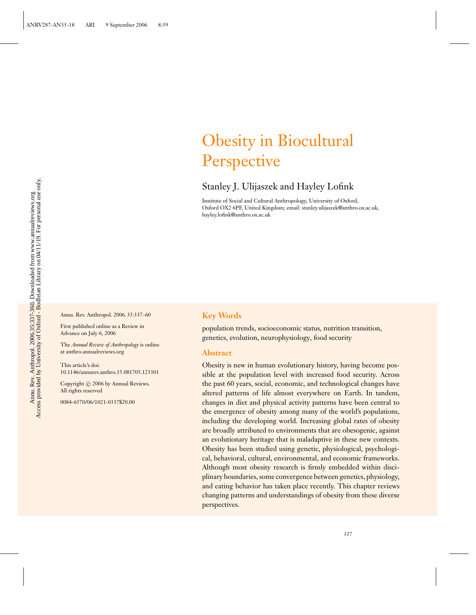# Obesity in Biocultural Perspective

# Stanley J. Ulijaszek and Hayley Lofink

Institute of Social and Cultural Anthropology, University of Oxford, Oxford OX2 6PF, United Kingdom; email: stanley.ulijaszek@anthro.ox.ac.uk, hayley.lofink@anthro.ox.ac.uk

Annu. Rev. Anthropol. 2006. 35:337–60

First published online as a Review in Advance on July 6, 2006

The *Annual Review of Anthropology* is online at anthro.annualreviews.org

This article's doi: 10.1146/annurev.anthro.35.081705.123301

Copyright  $\odot$  2006 by Annual Reviews. All rights reserved

0084-6570/06/1021-0337\$20.00

#### **Key Words**

population trends, socioeconomic status, nutrition transition, genetics, evolution, neurophysiology, food security

#### **Abstract**

Obesity is new in human evolutionary history, having become possible at the population level with increased food security. Across the past 60 years, social, economic, and technological changes have altered patterns of life almost everywhere on Earth. In tandem, changes in diet and physical activity patterns have been central to the emergence of obesity among many of the world's populations, including the developing world. Increasing global rates of obesity are broadly attributed to environments that are obesogenic, against an evolutionary heritage that is maladaptive in these new contexts. Obesity has been studied using genetic, physiological, psychological, behavioral, cultural, environmental, and economic frameworks. Although most obesity research is firmly embedded within disciplinary boundaries, some convergence between genetics, physiology, and eating behavior has taken place recently. This chapter reviews changing patterns and understandings of obesity from these diverse perspectives.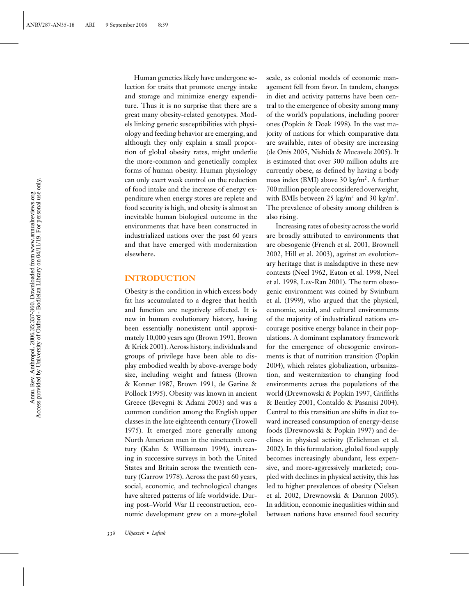Human genetics likely have undergone selection for traits that promote energy intake and storage and minimize energy expenditure. Thus it is no surprise that there are a great many obesity-related genotypes. Models linking genetic susceptibilities with physiology and feeding behavior are emerging, and although they only explain a small proportion of global obesity rates, might underlie the more-common and genetically complex forms of human obesity. Human physiology can only exert weak control on the reduction of food intake and the increase of energy expenditure when energy stores are replete and food security is high, and obesity is almost an inevitable human biological outcome in the environments that have been constructed in industrialized nations over the past 60 years and that have emerged with modernization elsewhere.

#### **INTRODUCTION**

Obesity is the condition in which excess body fat has accumulated to a degree that health and function are negatively affected. It is new in human evolutionary history, having been essentially nonexistent until approximately 10,000 years ago (Brown 1991, Brown & Krick 2001). Across history, individuals and groups of privilege have been able to display embodied wealth by above-average body size, including weight and fatness (Brown & Konner 1987, Brown 1991, de Garine & Pollock 1995). Obesity was known in ancient Greece (Bevegni & Adami 2003) and was a common condition among the English upper classes in the late eighteenth century (Trowell 1975). It emerged more generally among North American men in the nineteenth century (Kahn & Williamson 1994), increasing in successive surveys in both the United States and Britain across the twentieth century (Garrow 1978). Across the past 60 years, social, economic, and technological changes have altered patterns of life worldwide. During post–World War II reconstruction, economic development grew on a more-global scale, as colonial models of economic management fell from favor. In tandem, changes in diet and activity patterns have been central to the emergence of obesity among many of the world's populations, including poorer ones (Popkin & Doak 1998). In the vast majority of nations for which comparative data are available, rates of obesity are increasing (de Onis 2005, Nishida & Mucavele 2005). It is estimated that over 300 million adults are currently obese, as defined by having a body mass index (BMI) above 30 kg/m<sup>2</sup>. A further 700 million people are considered overweight, with BMIs between 25 kg/m<sup>2</sup> and 30 kg/m<sup>2</sup>. The prevalence of obesity among children is also rising.

Increasing rates of obesity across the world are broadly attributed to environments that are obesogenic (French et al. 2001, Brownell 2002, Hill et al. 2003), against an evolutionary heritage that is maladaptive in these new contexts (Neel 1962, Eaton et al. 1998, Neel et al. 1998, Lev-Ran 2001). The term obesogenic environment was coined by Swinburn et al. (1999), who argued that the physical, economic, social, and cultural environments of the majority of industrialized nations encourage positive energy balance in their populations. A dominant explanatory framework for the emergence of obesogenic environments is that of nutrition transition (Popkin 2004), which relates globalization, urbanization, and westernization to changing food environments across the populations of the world (Drewnowski & Popkin 1997, Griffiths & Bentley 2001, Contaldo & Pasanisi 2004). Central to this transition are shifts in diet toward increased consumption of energy-dense foods (Drewnowski & Popkin 1997) and declines in physical activity (Erlichman et al. 2002). In this formulation, global food supply becomes increasingly abundant, less expensive, and more-aggressively marketed; coupled with declines in physical activity, this has led to higher prevalences of obesity (Nielsen et al. 2002, Drewnowski & Darmon 2005). In addition, economic inequalities within and between nations have ensured food security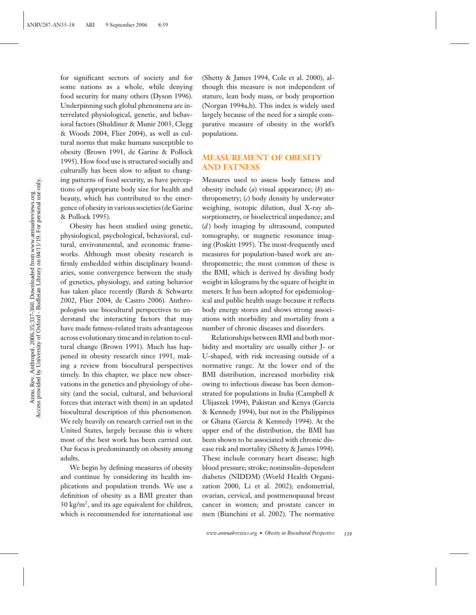for significant sectors of society and for some nations as a whole, while denying food security for many others (Dyson 1996). Underpinning such global phenomena are interrelated physiological, genetic, and behavioral factors (Shuldiner & Munir 2003, Clegg & Woods 2004, Flier 2004), as well as cultural norms that make humans susceptible to obesity (Brown 1991, de Garine & Pollock 1995). How food use is structured socially and culturally has been slow to adjust to changing patterns of food security, as have perceptions of appropriate body size for health and beauty, which has contributed to the emergence of obesity in various societies (de Garine & Pollock 1995).

Obesity has been studied using genetic, physiological, psychological, behavioral, cultural, environmental, and economic frameworks. Although most obesity research is firmly embedded within disciplinary boundaries, some convergence between the study of genetics, physiology, and eating behavior has taken place recently (Barsh & Schwartz 2002, Flier 2004, de Castro 2006). Anthropologists use biocultural perspectives to understand the interacting factors that may have made fatness-related traits advantageous across evolutionary time and in relation to cultural change (Brown 1991). Much has happened in obesity research since 1991, making a review from biocultural perspectives timely. In this chapter, we place new observations in the genetics and physiology of obesity (and the social, cultural, and behavioral forces that interact with them) in an updated biocultural description of this phenomenon. We rely heavily on research carried out in the United States, largely because this is where most of the best work has been carried out. Our focus is predominantly on obesity among adults.

We begin by defining measures of obesity and continue by considering its health implications and population trends. We use a definition of obesity as a BMI greater than 30 kg/m2, and its age equivalent for children, which is recommended for international use (Shetty & James 1994, Cole et al. 2000), although this measure is not independent of stature, lean body mass, or body proportion (Norgan 1994a,b). This index is widely used largely because of the need for a simple comparative measure of obesity in the world's populations.

## **MEASUREMENT OF OBESITY AND FATNESS**

Measures used to assess body fatness and obesity include (*a*) visual appearance; (*b*) anthropometry; (*c*) body density by underwater weighing, isotopic dilution, dual X-ray absorptiometry, or bioelectrical impedance; and (*d* ) body imaging by ultrasound, computed tomography, or magnetic resonance imaging (Poskitt 1995). The most-frequently used measures for population-based work are anthropometric; the most common of these is the BMI, which is derived by dividing body weight in kilograms by the square of height in meters. It has been adopted for epidemiological and public health usage because it reflects body energy stores and shows strong associations with morbidity and mortality from a number of chronic diseases and disorders.

Relationships between BMI and both morbidity and mortality are usually either J- or U-shaped, with risk increasing outside of a normative range. At the lower end of the BMI distribution, increased morbidity risk owing to infectious disease has been demonstrated for populations in India (Campbell & Ulijaszek 1994), Pakistan and Kenya (Garcia & Kennedy 1994), but not in the Philippines or Ghana (Garcia & Kennedy 1994). At the upper end of the distribution, the BMI has been shown to be associated with chronic disease risk and mortality (Shetty & James 1994). These include coronary heart disease; high blood pressure; stroke; noninsulin-dependent diabetes (NIDDM) (World Health Organization 2000, Li et al. 2002); endometrial, ovarian, cervical, and postmenopausal breast cancer in women; and prostate cancer in men (Bianchini et al. 2002). The normative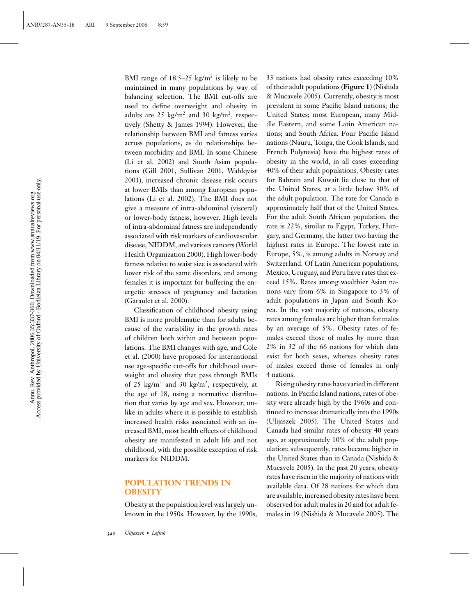BMI range of  $18.5-25$  kg/m<sup>2</sup> is likely to be maintained in many populations by way of balancing selection. The BMI cut-offs are used to define overweight and obesity in adults are  $25 \text{ kg/m}^2$  and  $30 \text{ kg/m}^2$ , respectively (Shetty & James 1994). However, the relationship between BMI and fatness varies across populations, as do relationships between morbidity and BMI. In some Chinese (Li et al. 2002) and South Asian populations (Gill 2001, Sullivan 2001, Wahlqvist 2001), increased chronic disease risk occurs at lower BMIs than among European populations (Li et al. 2002). The BMI does not give a measure of intra-abdominal (visceral) or lower-body fatness, however. High levels of intra-abdominal fatness are independently associated with risk markers of cardiovascular disease, NIDDM, and various cancers (World Health Organization 2000). High lower-body fatness relative to waist size is associated with lower risk of the same disorders, and among females it is important for buffering the energetic stresses of pregnancy and lactation (Garaulet et al. 2000).

Classification of childhood obesity using BMI is more problematic than for adults because of the variability in the growth rates of children both within and between populations. The BMI changes with age, and Cole et al. (2000) have proposed for international use age-specific cut-offs for childhood overweight and obesity that pass through BMIs of 25 kg/m<sup>2</sup> and 30 kg/m<sup>2</sup>, respectively, at the age of 18, using a normative distribution that varies by age and sex. However, unlike in adults where it is possible to establish increased health risks associated with an increased BMI, most health effects of childhood obesity are manifested in adult life and not childhood, with the possible exception of risk markers for NIDDM.

### **POPULATION TRENDS IN OBESITY**

Obesity at the population level was largely unknown in the 1950s. However, by the 1990s,

33 nations had obesity rates exceeding 10% of their adult populations (**Figure 1**) (Nishida & Mucavele 2005). Currently, obesity is most prevalent in some Pacific Island nations; the United States; most European, many Middle Eastern, and some Latin American nations; and South Africa. Four Pacific Island nations (Nauru, Tonga, the Cook Islands, and French Polynesia) have the highest rates of obesity in the world, in all cases exceeding 40% of their adult populations. Obesity rates for Bahrain and Kuwait lie close to that of the United States, at a little below 30% of the adult population. The rate for Canada is approximately half that of the United States. For the adult South African population, the rate is 22%, similar to Egypt, Turkey, Hungary, and Germany, the latter two having the highest rates in Europe. The lowest rate in Europe, 5%, is among adults in Norway and Switzerland. Of Latin American populations, Mexico, Uruguay, and Peru have rates that exceed 15%. Rates among wealthier Asian nations vary from 6% in Singapore to 3% of adult populations in Japan and South Korea. In the vast majority of nations, obesity rates among females are higher than for males by an average of 5%. Obesity rates of females exceed those of males by more than 2% in 32 of the 66 nations for which data exist for both sexes, whereas obesity rates of males exceed those of females in only 4 nations.

Rising obesity rates have varied in different nations. In Pacific Island nations, rates of obesity were already high by the 1960s and continued to increase dramatically into the 1990s (Ulijaszek 2005). The United States and Canada had similar rates of obesity 40 years ago, at approximately 10% of the adult population; subsequently, rates became higher in the United States than in Canada (Nishida & Mucavele 2005). In the past 20 years, obesity rates have risen in the majority of nations with available data. Of 28 nations for which data are available, increased obesity rates have been observed for adult males in 20 and for adult females in 19 (Nishida & Mucavele 2005). The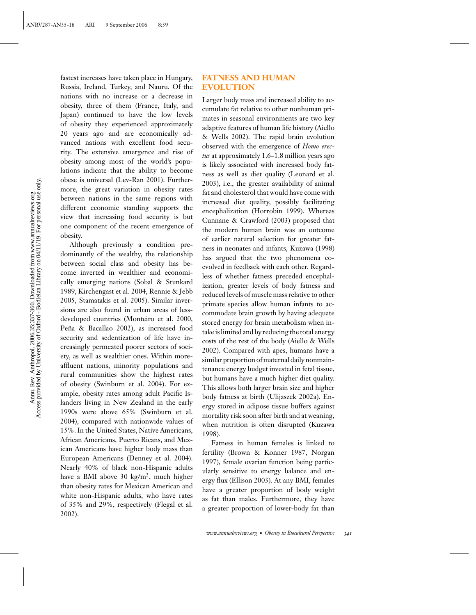fastest increases have taken place in Hungary, Russia, Ireland, Turkey, and Nauru. Of the nations with no increase or a decrease in obesity, three of them (France, Italy, and Japan) continued to have the low levels of obesity they experienced approximately 20 years ago and are economically advanced nations with excellent food security. The extensive emergence and rise of obesity among most of the world's populations indicate that the ability to become obese is universal (Lev-Ran 2001). Furthermore, the great variation in obesity rates between nations in the same regions with different economic standing supports the view that increasing food security is but one component of the recent emergence of obesity.

Although previously a condition predominantly of the wealthy, the relationship between social class and obesity has become inverted in wealthier and economically emerging nations (Sobal & Stunkard 1989, Kirchengast et al. 2004, Rennie & Jebb 2005, Stamatakis et al. 2005). Similar inversions are also found in urban areas of lessdeveloped countries (Monteiro et al. 2000, Peña & Bacallao 2002), as increased food security and sedentization of life have increasingly permeated poorer sectors of society, as well as wealthier ones. Within moreaffluent nations, minority populations and rural communities show the highest rates of obesity (Swinburn et al. 2004). For example, obesity rates among adult Pacific Islanders living in New Zealand in the early 1990s were above 65% (Swinburn et al. 2004), compared with nationwide values of 15%. In the United States, Native Americans, African Americans, Puerto Ricans, and Mexican Americans have higher body mass than European Americans (Denney et al. 2004). Nearly 40% of black non-Hispanic adults have a BMI above 30 kg/m<sup>2</sup>, much higher than obesity rates for Mexican American and white non-Hispanic adults, who have rates of 35% and 29%, respectively (Flegal et al. 2002).

## **FATNESS AND HUMAN EVOLUTION**

Larger body mass and increased ability to accumulate fat relative to other nonhuman primates in seasonal environments are two key adaptive features of human life history (Aiello & Wells 2002). The rapid brain evolution observed with the emergence of *Homo erectus* at approximately 1.6–1.8 million years ago is likely associated with increased body fatness as well as diet quality (Leonard et al. 2003), i.e., the greater availability of animal fat and cholesterol that would have come with increased diet quality, possibly facilitating encephalization (Horrobin 1999). Whereas Cunnane & Crawford (2003) proposed that the modern human brain was an outcome of earlier natural selection for greater fatness in neonates and infants, Kuzawa (1998) has argued that the two phenomena coevolved in feedback with each other. Regardless of whether fatness preceded encephalization, greater levels of body fatness and reduced levels of muscle mass relative to other primate species allow human infants to accommodate brain growth by having adequate stored energy for brain metabolism when intake is limited and by reducing the total energy costs of the rest of the body (Aiello & Wells 2002). Compared with apes, humans have a similar proportion of maternal daily nonmaintenance energy budget invested in fetal tissue, but humans have a much higher diet quality. This allows both larger brain size and higher body fatness at birth (Ulijaszek 2002a). Energy stored in adipose tissue buffers against mortality risk soon after birth and at weaning, when nutrition is often disrupted (Kuzawa 1998).

Fatness in human females is linked to fertility (Brown & Konner 1987, Norgan 1997), female ovarian function being particularly sensitive to energy balance and energy flux (Ellison 2003). At any BMI, females have a greater proportion of body weight as fat than males. Furthermore, they have a greater proportion of lower-body fat than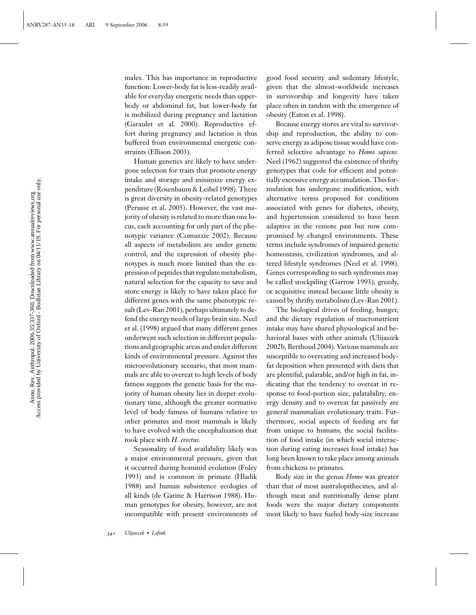males. This has importance in reproductive function: Lower-body fat is less-readily available for everyday energetic needs than upperbody or abdominal fat, but lower-body fat is mobilized during pregnancy and lactation (Garaulet et al. 2000). Reproductive effort during pregnancy and lactation is thus buffered from environmental energetic constraints (Ellison 2003).

Human genetics are likely to have undergone selection for traits that promote energy intake and storage and minimize energy expenditure (Rosenbaum & Leibel 1998). There is great diversity in obesity-related genotypes (Perusse et al. 2005). However, the vast majority of obesity is related to more than one locus, each accounting for only part of the phenotypic variance (Comuzzie 2002). Because all aspects of metabolism are under genetic control, and the expression of obesity phenotypes is much more limited than the expression of peptides that regulate metabolism, natural selection for the capacity to save and store energy is likely to have taken place for different genes with the same phenotypic result (Lev-Ran 2001), perhaps ultimately to defend the energy needs of large brain size. Neel et al. (1998) argued that many different genes underwent such selection in different populations and geographic areas and under different kinds of environmental pressure. Against this microevolutionary scenario, that most mammals are able to overeat to high levels of body fatness suggests the genetic basis for the majority of human obesity lies in deeper evolutionary time, although the greater normative level of body fatness of humans relative to other primates and most mammals is likely to have evolved with the encephalization that took place with *H. erectus*.

Seasonality of food availability likely was a major environmental pressure, given that it occurred during hominid evolution (Foley 1993) and is common in primate (Hladik 1988) and human subsistence ecologies of all kinds (de Garine & Harrison 1988). Human genotypes for obesity, however, are not incompatible with present environments of

good food security and sedentary lifestyle, given that the almost-worldwide increases in survivorship and longevity have taken place often in tandem with the emergence of obesity (Eaton et al. 1998).

Because energy stores are vital to survivorship and reproduction, the ability to conserve energy as adipose tissue would have conferred selective advantage to *Homo sapiens*. Neel (1962) suggested the existence of thrifty genotypes that code for efficient and potentially excessive energy accumulation. This formulation has undergone modification, with alternative terms proposed for conditions associated with genes for diabetes, obesity, and hypertension considered to have been adaptive in the remote past but now compromised by changed environments. These terms include syndromes of impaired genetic homeostasis, civilization syndromes, and altered lifestyle syndromes (Neel et al. 1998). Genes corresponding to such syndromes may be called stockpiling (Garrow 1993), greedy, or acquisitive instead because little obesity is caused by thrifty metabolism (Lev-Ran 2001).

The biological drives of feeding, hunger, and the dietary regulation of macronutrient intake may have shared physiological and behavioral bases with other animals (Ulijaszek 2002b, Berthoud 2004). Various mammals are susceptible to overeating and increased bodyfat deposition when presented with diets that are plentiful, palatable, and/or high in fat, indicating that the tendency to overeat in response to food-portion size, palatability, energy density and to overeat fat passively are general mammalian evolutionary traits. Furthermore, social aspects of feeding are far from unique to humans; the social facilitation of food intake (in which social interaction during eating increases food intake) has long been known to take place among animals from chickens to primates.

Body size in the genus *Homo* was greater than that of most australopithecines, and although meat and nutritionally dense plant foods were the major dietary components most likely to have fueled body-size increase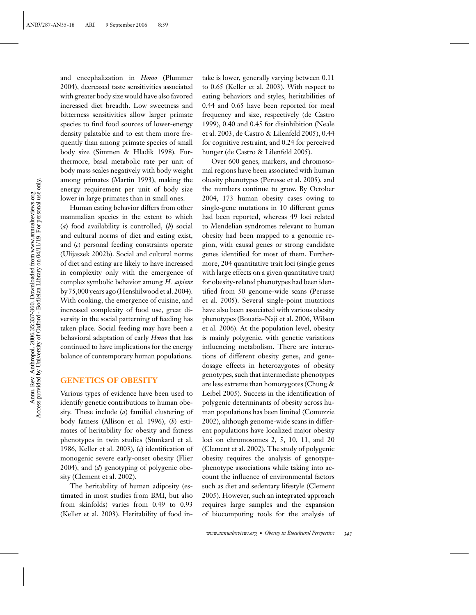Access provided by University of Oxford - Bodleian Library on 04/11/19. For personal use only. Annu. Rev. Anthropol. 2006.35:337-360. Downloaded from www.annualreviews.org<br>Access provided by University of Oxford - Bodleian Library on 04/11/19. For personal use only. Annu. Rev. Anthropol. 2006.35:337-360. Downloaded from www.annualreviews.org

and encephalization in *Homo* (Plummer 2004), decreased taste sensitivities associated with greater body size would have also favored increased diet breadth. Low sweetness and bitterness sensitivities allow larger primate species to find food sources of lower-energy density palatable and to eat them more frequently than among primate species of small body size (Simmen & Hladik 1998). Furthermore, basal metabolic rate per unit of body mass scales negatively with body weight among primates (Martin 1993), making the energy requirement per unit of body size lower in large primates than in small ones.

Human eating behavior differs from other mammalian species in the extent to which (*a*) food availability is controlled, (*b*) social and cultural norms of diet and eating exist, and (*c*) personal feeding constraints operate (Ulijaszek 2002b). Social and cultural norms of diet and eating are likely to have increased in complexity only with the emergence of complex symbolic behavior among *H. sapiens* by 75,000 years ago (Henshilwood et al. 2004). With cooking, the emergence of cuisine, and increased complexity of food use, great diversity in the social patterning of feeding has taken place. Social feeding may have been a behavioral adaptation of early *Homo* that has continued to have implications for the energy balance of contemporary human populations.

#### **GENETICS OF OBESITY**

Various types of evidence have been used to identify genetic contributions to human obesity. These include (*a*) familial clustering of body fatness (Allison et al. 1996), (*b*) estimates of heritability for obesity and fatness phenotypes in twin studies (Stunkard et al. 1986, Keller et al. 2003), (*c*) identification of monogenic severe early-onset obesity (Flier 2004), and (*d*) genotyping of polygenic obesity (Clement et al. 2002).

The heritability of human adiposity (estimated in most studies from BMI, but also from skinfolds) varies from 0.49 to 0.93 (Keller et al. 2003). Heritability of food intake is lower, generally varying between 0.11 to 0.65 (Keller et al. 2003). With respect to eating behaviors and styles, heritabilities of 0.44 and 0.65 have been reported for meal frequency and size, respectively (de Castro 1999), 0.40 and 0.45 for disinhibition (Neale et al. 2003, de Castro & Lilenfeld 2005), 0.44 for cognitive restraint, and 0.24 for perceived hunger (de Castro & Lilenfeld 2005).

Over 600 genes, markers, and chromosomal regions have been associated with human obesity phenotypes (Perusse et al. 2005), and the numbers continue to grow. By October 2004, 173 human obesity cases owing to single-gene mutations in 10 different genes had been reported, whereas 49 loci related to Mendelian syndromes relevant to human obesity had been mapped to a genomic region, with causal genes or strong candidate genes identified for most of them. Furthermore, 204 quantitative trait loci (single genes with large effects on a given quantitative trait) for obesity-related phenotypes had been identified from 50 genome-wide scans (Perusse et al. 2005). Several single-point mutations have also been associated with various obesity phenotypes (Bouatia-Naji et al. 2006, Wilson et al. 2006). At the population level, obesity is mainly polygenic, with genetic variations influencing metabolism. There are interactions of different obesity genes, and genedosage effects in heterozygotes of obesity genotypes, such that intermediate phenotypes are less extreme than homozygotes (Chung & Leibel 2005). Success in the identification of polygenic determinants of obesity across human populations has been limited (Comuzzie 2002), although genome-wide scans in different populations have localized major obesity loci on chromosomes 2, 5, 10, 11, and 20 (Clement et al. 2002). The study of polygenic obesity requires the analysis of genotypephenotype associations while taking into account the influence of environmental factors such as diet and sedentary lifestyle (Clement 2005). However, such an integrated approach requires large samples and the expansion of biocomputing tools for the analysis of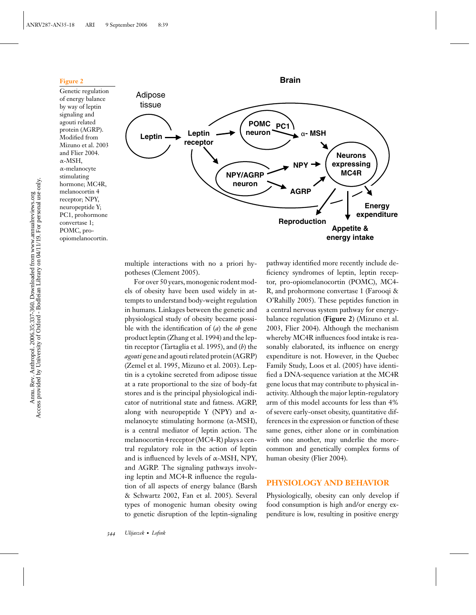#### **Figure 2**

Genetic regulation of energy balance by way of leptin signaling and agouti related protein (AGRP). Modified from Mizuno et al. 2003 and Flier 2004. α-MSH, α-melanocyte stimulating hormone; MC4R, melanocortin 4 receptor; NPY, neuropeptide Y; PC1, prohormone convertase 1; POMC, proopiomelanocortin.



multiple interactions with no a priori hypotheses (Clement 2005).

For over 50 years, monogenic rodent models of obesity have been used widely in attempts to understand body-weight regulation in humans. Linkages between the genetic and physiological study of obesity became possible with the identification of (*a*) the *ob* gene product leptin (Zhang et al. 1994) and the leptin receptor (Tartaglia et al. 1995), and (*b*) the *agouti* gene and agouti related protein (AGRP) (Zemel et al. 1995, Mizuno et al. 2003). Leptin is a cytokine secreted from adipose tissue at a rate proportional to the size of body-fat stores and is the principal physiological indicator of nutritional state and fatness. AGRP, along with neuropeptide Y (NPY) and  $\alpha$ melanocyte stimulating hormone (α-MSH), is a central mediator of leptin action. The melanocortin 4 receptor (MC4-R) plays a central regulatory role in the action of leptin and is influenced by levels of  $\alpha$ -MSH, NPY, and AGRP. The signaling pathways involving leptin and MC4-R influence the regulation of all aspects of energy balance (Barsh & Schwartz 2002, Fan et al. 2005). Several types of monogenic human obesity owing to genetic disruption of the leptin-signaling

pathway identified more recently include deficiency syndromes of leptin, leptin receptor, pro-opiomelanocortin (POMC), MC4- R, and prohormone convertase 1 (Farooqi & O'Rahilly 2005). These peptides function in a central nervous system pathway for energybalance regulation (**Figure 2**) (Mizuno et al. 2003, Flier 2004). Although the mechanism whereby MC4R influences food intake is reasonably elaborated, its influence on energy expenditure is not. However, in the Quebec Family Study, Loos et al. (2005) have identified a DNA-sequence variation at the MC4R gene locus that may contribute to physical inactivity. Although the major leptin-regulatory arm of this model accounts for less than 4% of severe early-onset obesity, quantitative differences in the expression or function of these same genes, either alone or in combination with one another, may underlie the morecommon and genetically complex forms of human obesity (Flier 2004).

## **PHYSIOLOGY AND BEHAVIOR**

Physiologically, obesity can only develop if food consumption is high and/or energy expenditure is low, resulting in positive energy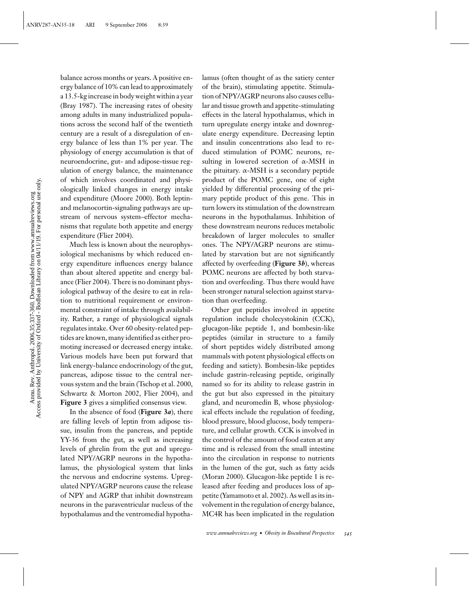balance across months or years. A positive energy balance of 10% can lead to approximately a 13.5-kg increase in body weight within a year (Bray 1987). The increasing rates of obesity among adults in many industrialized populations across the second half of the twentieth century are a result of a disregulation of energy balance of less than 1% per year. The physiology of energy accumulation is that of neuroendocrine, gut- and adipose-tissue regulation of energy balance, the maintenance of which involves coordinated and physiologically linked changes in energy intake and expenditure (Moore 2000). Both leptinand melanocortin-signaling pathways are upstream of nervous system–effector mechanisms that regulate both appetite and energy expenditure (Flier 2004).

Much less is known about the neurophysiological mechanisms by which reduced energy expenditure influences energy balance than about altered appetite and energy balance (Flier 2004). There is no dominant physiological pathway of the desire to eat in relation to nutritional requirement or environmental constraint of intake through availability. Rather, a range of physiological signals regulates intake. Over 60 obesity-related peptides are known, many identified as either promoting increased or decreased energy intake. Various models have been put forward that link energy-balance endocrinology of the gut, pancreas, adipose tissue to the central nervous system and the brain (Tschop et al. 2000, Schwartz & Morton 2002, Flier 2004), and **Figure 3** gives a simplified consensus view.

In the absence of food (**Figure 3***a*), there are falling levels of leptin from adipose tissue, insulin from the pancreas, and peptide YY-36 from the gut, as well as increasing levels of ghrelin from the gut and upregulated NPY/AGRP neurons in the hypothalamus, the physiological system that links the nervous and endocrine systems. Upregulated NPY/AGRP neurons cause the release of NPY and AGRP that inhibit downstream neurons in the paraventricular nucleus of the hypothalamus and the ventromedial hypothalamus (often thought of as the satiety center of the brain), stimulating appetite. Stimulation of NPY/AGRP neurons also causes cellular and tissue growth and appetite-stimulating effects in the lateral hypothalamus, which in turn upregulate energy intake and downregulate energy expenditure. Decreasing leptin and insulin concentrations also lead to reduced stimulation of POMC neurons, resulting in lowered secretion of α-MSH in the pituitary.  $α$ -MSH is a secondary peptide product of the POMC gene, one of eight yielded by differential processing of the primary peptide product of this gene. This in turn lowers its stimulation of the downstream neurons in the hypothalamus. Inhibition of these downstream neurons reduces metabolic breakdown of larger molecules to smaller ones. The NPY/AGRP neurons are stimulated by starvation but are not significantly affected by overfeeding (**Figure 3***b*), whereas POMC neurons are affected by both starvation and overfeeding. Thus there would have been stronger natural selection against starvation than overfeeding.

Other gut peptides involved in appetite regulation include cholecystokinin (CCK), glucagon-like peptide 1, and bombesin-like peptides (similar in structure to a family of short peptides widely distributed among mammals with potent physiological effects on feeding and satiety). Bombesin-like peptides include gastrin-releasing peptide, originally named so for its ability to release gastrin in the gut but also expressed in the pituitary gland, and neuromedin B, whose physiological effects include the regulation of feeding, blood pressure, blood glucose, body temperature, and cellular growth. CCK is involved in the control of the amount of food eaten at any time and is released from the small intestine into the circulation in response to nutrients in the lumen of the gut, such as fatty acids (Moran 2000). Glucagon-like peptide 1 is released after feeding and produces loss of appetite (Yamamoto et al. 2002). As well as its involvement in the regulation of energy balance, MC4R has been implicated in the regulation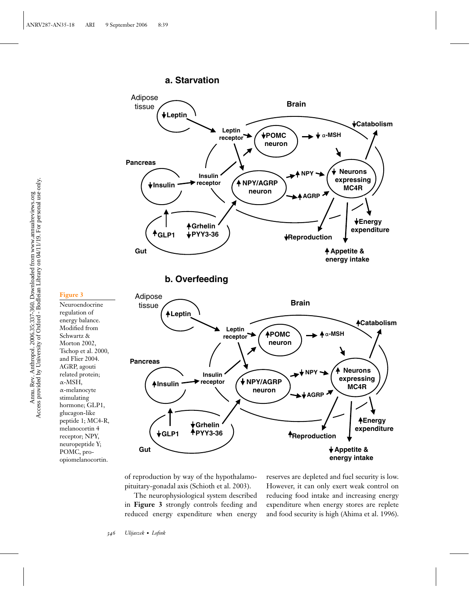



**Brain**

of reproduction by way of the hypothalamopituitary-gonadal axis (Schioth et al. 2003).

The neurophysiological system described in **Figure 3** strongly controls feeding and reduced energy expenditure when energy

reserves are depleted and fuel security is low. However, it can only exert weak control on reducing food intake and increasing energy expenditure when energy stores are replete and food security is high (Ahima et al. 1996).

**Figure 3** Neuroendocrine regulation of

Annu. Rev. Anthropol. 2006.35:337-360. Downloaded from www.annualreviews.org<br>Access provided by University of Oxford - Bodleian Library on 04/11/19. For personal use only. Access provided by University of Oxford - Bodleian Library on 04/11/19. For personal use only. Annu. Rev. Anthropol. 2006.35:337-360. Downloaded from www.annualreviews.org

Adipose tissue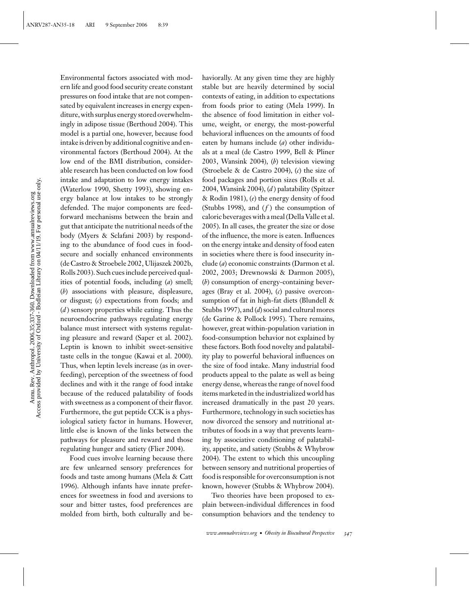Environmental factors associated with modern life and good food security create constant pressures on food intake that are not compensated by equivalent increases in energy expenditure, with surplus energy stored overwhelmingly in adipose tissue (Berthoud 2004). This model is a partial one, however, because food intake is driven by additional cognitive and environmental factors (Berthoud 2004). At the low end of the BMI distribution, considerable research has been conducted on low food intake and adaptation to low energy intakes (Waterlow 1990, Shetty 1993), showing energy balance at low intakes to be strongly defended. The major components are feedforward mechanisms between the brain and gut that anticipate the nutritional needs of the body (Myers & Sclafani 2003) by responding to the abundance of food cues in foodsecure and socially enhanced environments (de Castro & Stroebele 2002, Ulijaszek 2002b, Rolls 2003). Such cues include perceived qualities of potential foods, including (*a*) smell; (*b*) associations with pleasure, displeasure, or disgust; (*c*) expectations from foods; and (*d* ) sensory properties while eating. Thus the neuroendocrine pathways regulating energy balance must intersect with systems regulating pleasure and reward (Saper et al. 2002). Leptin is known to inhibit sweet-sensitive taste cells in the tongue (Kawai et al. 2000). Thus, when leptin levels increase (as in overfeeding), perception of the sweetness of food declines and with it the range of food intake because of the reduced palatability of foods with sweetness as a component of their flavor. Furthermore, the gut peptide CCK is a physiological satiety factor in humans. However, little else is known of the links between the pathways for pleasure and reward and those regulating hunger and satiety (Flier 2004).

Food cues involve learning because there are few unlearned sensory preferences for foods and taste among humans (Mela & Catt 1996). Although infants have innate preferences for sweetness in food and aversions to sour and bitter tastes, food preferences are molded from birth, both culturally and behaviorally. At any given time they are highly stable but are heavily determined by social contexts of eating, in addition to expectations from foods prior to eating (Mela 1999). In the absence of food limitation in either volume, weight, or energy, the most-powerful behavioral influences on the amounts of food eaten by humans include (*a*) other individuals at a meal (de Castro 1999, Bell & Pliner 2003, Wansink 2004), (*b*) television viewing (Stroebele & de Castro 2004), (*c*) the size of food packages and portion sizes (Rolls et al. 2004, Wansink 2004), (*d* ) palatability (Spitzer & Rodin 1981), (*e*) the energy density of food (Stubbs 1998), and  $(f)$  the consumption of caloric beverages with a meal (Della Valle et al. 2005). In all cases, the greater the size or dose of the influence, the more is eaten. Influences on the energy intake and density of food eaten in societies where there is food insecurity include (*a*) economic constraints (Darmon et al. 2002, 2003; Drewnowski & Darmon 2005), (*b*) consumption of energy-containing beverages (Bray et al. 2004), (*c*) passive overconsumption of fat in high-fat diets (Blundell & Stubbs 1997), and (*d*) social and cultural mores (de Garine & Pollock 1995). There remains, however, great within-population variation in food-consumption behavior not explained by these factors. Both food novelty and palatability play to powerful behavioral influences on the size of food intake. Many industrial food products appeal to the palate as well as being energy dense, whereas the range of novel food items marketed in the industrialized world has increased dramatically in the past 20 years. Furthermore, technology in such societies has now divorced the sensory and nutritional attributes of foods in a way that prevents learning by associative conditioning of palatability, appetite, and satiety (Stubbs & Whybrow 2004). The extent to which this uncoupling between sensory and nutritional properties of food is responsible for overconsumption is not known, however (Stubbs & Whybrow 2004).

Two theories have been proposed to explain between-individual differences in food consumption behaviors and the tendency to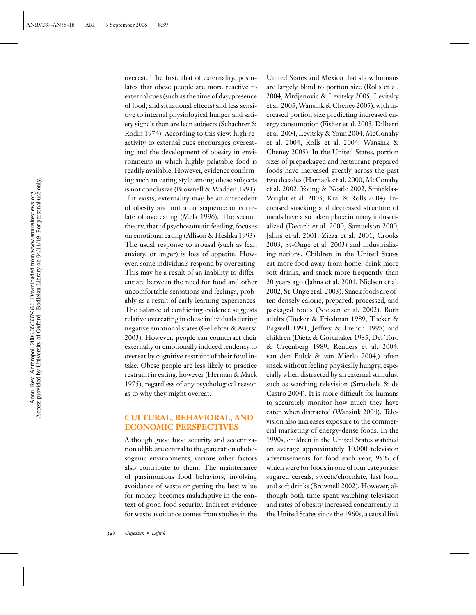overeat. The first, that of externality, postulates that obese people are more reactive to external cues (such as the time of day, presence of food, and situational effects) and less sensitive to internal physiological hunger and satiety signals than are lean subjects (Schachter & Rodin 1974). According to this view, high reactivity to external cues encourages overeating and the development of obesity in environments in which highly palatable food is readily available. However, evidence confirming such an eating style among obese subjects is not conclusive (Brownell & Wadden 1991). If it exists, externality may be an antecedent of obesity and not a consequence or correlate of overeating (Mela 1996). The second theory, that of psychosomatic feeding, focuses on emotional eating (Allison & Heshka 1993). The usual response to arousal (such as fear, anxiety, or anger) is loss of appetite. However, some individuals respond by overeating. This may be a result of an inability to differentiate between the need for food and other uncomfortable sensations and feelings, probably as a result of early learning experiences. The balance of conflicting evidence suggests relative overeating in obese individuals during negative emotional states (Geliebter & Aversa 2003). However, people can counteract their externally or emotionally induced tendency to overeat by cognitive restraint of their food intake. Obese people are less likely to practice restraint in eating, however (Herman & Mack 1975), regardless of any psychological reason as to why they might overeat.

## **CULTURAL, BEHAVIORAL, AND ECONOMIC PERSPECTIVES**

Although good food security and sedentization of life are central to the generation of obesogenic environments, various other factors also contribute to them. The maintenance of parsimonious food behaviors, involving avoidance of waste or getting the best value for money, becomes maladaptive in the context of good food security. Indirect evidence for waste avoidance comes from studies in the United States and Mexico that show humans are largely blind to portion size (Rolls et al. 2004, Mrdjenovic & Levitsky 2005, Levitsky et al. 2005, Wansink & Cheney 2005), with increased portion size predicting increased energy consumption (Fisher et al. 2003, Dilberti et al. 2004, Levitsky & Youn 2004, McConahy et al. 2004, Rolls et al. 2004, Wansink & Cheney 2005). In the United States, portion sizes of prepackaged and restaurant-prepared foods have increased greatly across the past two decades (Harnack et al. 2000, McConahy et al. 2002, Young & Nestle 2002, Smiciklas-Wright et al. 2003, Kral & Rolls 2004). Increased snacking and decreased structure of meals have also taken place in many industrialized (Decarli et al. 2000, Samuelson 2000, Jahns et al. 2001, Zizza et al. 2001, Crooks 2003, St-Onge et al. 2003) and industrializing nations. Children in the United States eat more food away from home, drink more soft drinks, and snack more frequently than 20 years ago (Jahns et al. 2001, Nielsen et al. 2002, St-Onge et al. 2003). Snack foods are often densely caloric, prepared, processed, and packaged foods (Nielsen et al. 2002). Both adults (Tucker & Friedman 1989, Tucker & Bagwell 1991, Jeffrey & French 1998) and children (Dietz & Gortmaker 1985, Del Toro & Greenberg 1989, Renders et al. 2004, van den Bulck & van Mierlo 2004,) often snack without feeling physically hungry, especially when distracted by an external stimulus, such as watching television (Stroebele & de Castro 2004). It is more difficult for humans to accurately monitor how much they have eaten when distracted (Wansink 2004). Television also increases exposure to the commercial marketing of energy-dense foods. In the 1990s, children in the United States watched on average approximately 10,000 television advertisements for food each year, 95% of which were for foods in one of four categories: sugared cereals, sweets/chocolate, fast food, and soft drinks (Brownell 2002). However, although both time spent watching television and rates of obesity increased concurrently in the United States since the 1960s, a causal link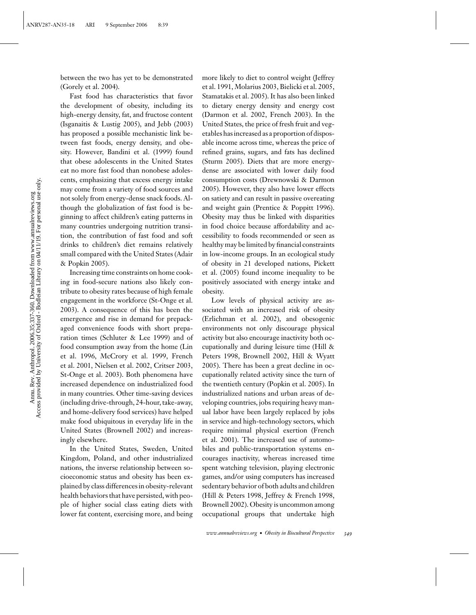between the two has yet to be demonstrated (Gorely et al. 2004).

Fast food has characteristics that favor the development of obesity, including its high-energy density, fat, and fructose content (Isganaitis & Lustig 2005), and Jebb (2003) has proposed a possible mechanistic link between fast foods, energy density, and obesity. However, Bandini et al. (1999) found that obese adolescents in the United States eat no more fast food than nonobese adolescents, emphasizing that excess energy intake may come from a variety of food sources and not solely from energy-dense snack foods. Although the globalization of fast food is beginning to affect children's eating patterns in many countries undergoing nutrition transition, the contribution of fast food and soft drinks to children's diet remains relatively small compared with the United States (Adair & Popkin 2005).

Increasing time constraints on home cooking in food-secure nations also likely contribute to obesity rates because of high female engagement in the workforce (St-Onge et al. 2003). A consequence of this has been the emergence and rise in demand for prepackaged convenience foods with short preparation times (Schluter & Lee 1999) and of food consumption away from the home (Lin et al. 1996, McCrory et al. 1999, French et al. 2001, Nielsen et al. 2002, Critser 2003, St-Onge et al. 2003). Both phenomena have increased dependence on industrialized food in many countries. Other time-saving devices (including drive-through, 24-hour, take-away, and home-delivery food services) have helped make food ubiquitous in everyday life in the United States (Brownell 2002) and increasingly elsewhere.

In the United States, Sweden, United Kingdom, Poland, and other industrialized nations, the inverse relationship between socioeconomic status and obesity has been explained by class differences in obesity-relevant health behaviors that have persisted, with people of higher social class eating diets with lower fat content, exercising more, and being more likely to diet to control weight (Jeffrey et al. 1991, Molarius 2003, Bielicki et al. 2005, Stamatakis et al. 2005). It has also been linked to dietary energy density and energy cost (Darmon et al. 2002, French 2003). In the United States, the price of fresh fruit and vegetables has increased as a proportion of disposable income across time, whereas the price of refined grains, sugars, and fats has declined (Sturm 2005). Diets that are more energydense are associated with lower daily food consumption costs (Drewnowski & Darmon 2005). However, they also have lower effects on satiety and can result in passive overeating and weight gain (Prentice & Poppitt 1996). Obesity may thus be linked with disparities in food choice because affordability and accessibility to foods recommended or seen as healthy may be limited by financial constraints in low-income groups. In an ecological study of obesity in 21 developed nations, Pickett et al. (2005) found income inequality to be positively associated with energy intake and obesity.

Low levels of physical activity are associated with an increased risk of obesity (Erlichman et al. 2002), and obesogenic environments not only discourage physical activity but also encourage inactivity both occupationally and during leisure time (Hill & Peters 1998, Brownell 2002, Hill & Wyatt 2005). There has been a great decline in occupationally related activity since the turn of the twentieth century (Popkin et al. 2005). In industrialized nations and urban areas of developing countries, jobs requiring heavy manual labor have been largely replaced by jobs in service and high-technology sectors, which require minimal physical exertion (French et al. 2001). The increased use of automobiles and public-transportation systems encourages inactivity, whereas increased time spent watching television, playing electronic games, and/or using computers has increased sedentary behavior of both adults and children (Hill & Peters 1998, Jeffrey & French 1998, Brownell 2002). Obesity is uncommon among occupational groups that undertake high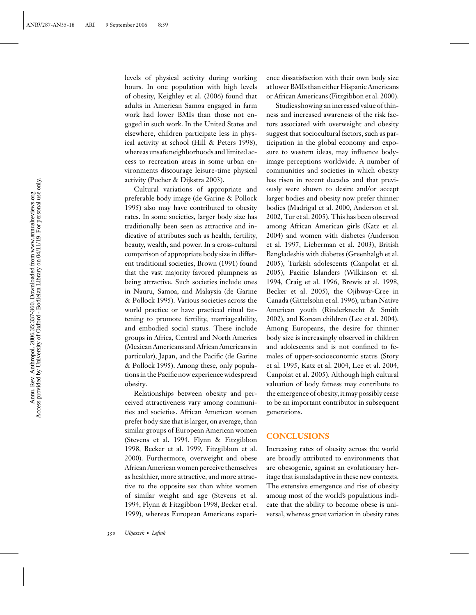levels of physical activity during working hours. In one population with high levels of obesity, Keighley et al. (2006) found that adults in American Samoa engaged in farm work had lower BMIs than those not engaged in such work. In the United States and elsewhere, children participate less in physical activity at school (Hill & Peters 1998), whereas unsafe neighborhoods and limited access to recreation areas in some urban environments discourage leisure-time physical activity (Pucher & Dijkstra 2003).

Cultural variations of appropriate and preferable body image (de Garine & Pollock 1995) also may have contributed to obesity rates. In some societies, larger body size has traditionally been seen as attractive and indicative of attributes such as health, fertility, beauty, wealth, and power. In a cross-cultural comparison of appropriate body size in different traditional societies, Brown (1991) found that the vast majority favored plumpness as being attractive. Such societies include ones in Nauru, Samoa, and Malaysia (de Garine & Pollock 1995). Various societies across the world practice or have practiced ritual fattening to promote fertility, marriageability, and embodied social status. These include groups in Africa, Central and North America (Mexican Americans and African Americans in particular), Japan, and the Pacific (de Garine & Pollock 1995). Among these, only populations in the Pacific now experience widespread obesity.

Relationships between obesity and perceived attractiveness vary among communities and societies. African American women prefer body size that is larger, on average, than similar groups of European American women (Stevens et al. 1994, Flynn & Fitzgibbon 1998, Becker et al. 1999, Fitzgibbon et al. 2000). Furthermore, overweight and obese African American women perceive themselves as healthier, more attractive, and more attractive to the opposite sex than white women of similar weight and age (Stevens et al. 1994, Flynn & Fitzgibbon 1998, Becker et al. 1999), whereas European Americans experience dissatisfaction with their own body size at lower BMIs than either Hispanic Americans or African Americans (Fitzgibbon et al. 2000).

Studies showing an increased value of thinness and increased awareness of the risk factors associated with overweight and obesity suggest that sociocultural factors, such as participation in the global economy and exposure to western ideas, may influence bodyimage perceptions worldwide. A number of communities and societies in which obesity has risen in recent decades and that previously were shown to desire and/or accept larger bodies and obesity now prefer thinner bodies (Madrigal et al. 2000, Anderson et al. 2002, Tur et al. 2005). This has been observed among African American girls (Katz et al. 2004) and women with diabetes (Anderson et al. 1997, Lieberman et al. 2003), British Bangladeshis with diabetes (Greenhalgh et al. 2005), Turkish adolescents (Canpolat et al. 2005), Pacific Islanders (Wilkinson et al. 1994, Craig et al. 1996, Brewis et al. 1998, Becker et al. 2005), the Ojibway-Cree in Canada (Gittelsohn et al. 1996), urban Native American youth (Rinderknecht & Smith 2002), and Korean children (Lee et al. 2004). Among Europeans, the desire for thinner body size is increasingly observed in children and adolescents and is not confined to females of upper-socioeconomic status (Story et al. 1995, Katz et al. 2004, Lee et al. 2004, Canpolat et al. 2005). Although high cultural valuation of body fatness may contribute to the emergence of obesity, it may possibly cease to be an important contributor in subsequent generations.

## **CONCLUSIONS**

Increasing rates of obesity across the world are broadly attributed to environments that are obesogenic, against an evolutionary heritage that is maladaptive in these new contexts. The extensive emergence and rise of obesity among most of the world's populations indicate that the ability to become obese is universal, whereas great variation in obesity rates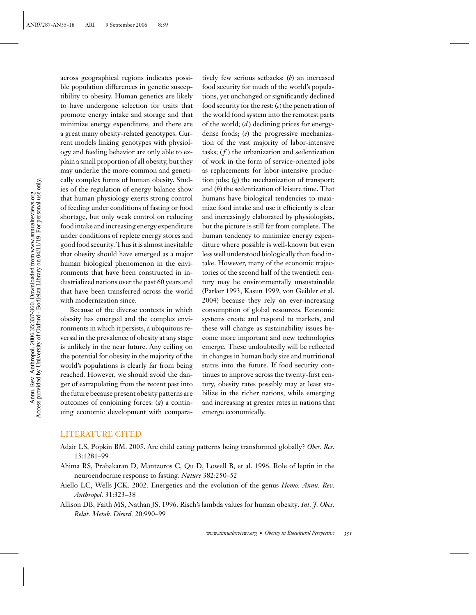across geographical regions indicates possible population differences in genetic susceptibility to obesity. Human genetics are likely to have undergone selection for traits that promote energy intake and storage and that minimize energy expenditure, and there are a great many obesity-related genotypes. Current models linking genotypes with physiology and feeding behavior are only able to explain a small proportion of all obesity, but they may underlie the more-common and genetically complex forms of human obesity. Studies of the regulation of energy balance show that human physiology exerts strong control of feeding under conditions of fasting or food shortage, but only weak control on reducing food intake and increasing energy expenditure under conditions of replete energy stores and good food security. Thus it is almost inevitable that obesity should have emerged as a major human biological phenomenon in the environments that have been constructed in industrialized nations over the past 60 years and that have been transferred across the world with modernization since.

Because of the diverse contexts in which obesity has emerged and the complex environments in which it persists, a ubiquitous reversal in the prevalence of obesity at any stage is unlikely in the near future. Any ceiling on the potential for obesity in the majority of the world's populations is clearly far from being reached. However, we should avoid the danger of extrapolating from the recent past into the future because present obesity patterns are outcomes of conjoining forces: (*a*) a continuing economic development with comparatively few serious setbacks; (*b*) an increased food security for much of the world's populations, yet unchanged or significantly declined food security for the rest; (*c*) the penetration of the world food system into the remotest parts of the world; (*d* ) declining prices for energydense foods; (*e*) the progressive mechanization of the vast majority of labor-intensive tasks;  $(f)$  the urbanization and sedentization of work in the form of service-oriented jobs as replacements for labor-intensive production jobs; (*g*) the mechanization of transport; and (*h*) the sedentization of leisure time. That humans have biological tendencies to maximize food intake and use it efficiently is clear and increasingly elaborated by physiologists, but the picture is still far from complete. The human tendency to minimize energy expenditure where possible is well-known but even less well understood biologically than food intake. However, many of the economic trajectories of the second half of the twentieth century may be environmentally unsustainable (Parker 1993, Kasun 1999, von Geibler et al. 2004) because they rely on ever-increasing consumption of global resources. Economic systems create and respond to markets, and these will change as sustainability issues become more important and new technologies emerge. These undoubtedly will be reflected in changes in human body size and nutritional status into the future. If food security continues to improve across the twenty-first century, obesity rates possibly may at least stabilize in the richer nations, while emerging and increasing at greater rates in nations that emerge economically.

#### LITERATURE CITED

- Adair LS, Popkin BM. 2005. Are child eating patterns being transformed globally? *Obes*. *Res.* 13:1281–99
- Ahima RS, Prabakaran D, Mantzoros C, Qu D, Lowell B, et al. 1996. Role of leptin in the neuroendocrine response to fasting. *Nature* 382:250–52
- Aiello LC, Wells JCK. 2002. Energetics and the evolution of the genus *Homo*. *Annu. Rev. Anthropol.* 31:323–38
- Allison DB, Faith MS, Nathan JS. 1996. Risch's lambda values for human obesity. *Int. J. Obes. Relat. Metab. Disord.* 20:990–99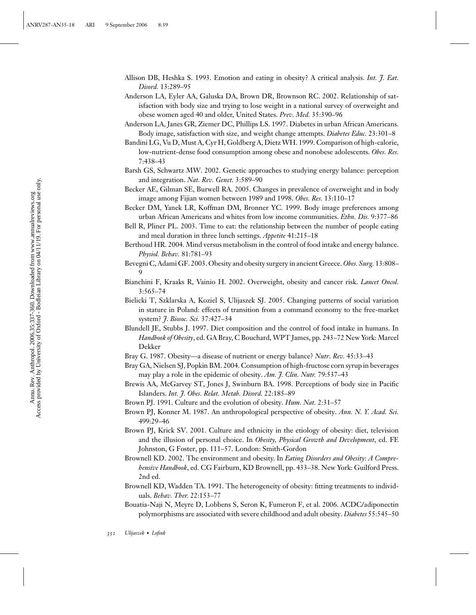- Allison DB, Heshka S. 1993. Emotion and eating in obesity? A critical analysis. *Int. J. Eat. Disord.* 13:289–95
- Anderson LA, Eyler AA, Galuska DA, Brown DR, Brownson RC. 2002. Relationship of satisfaction with body size and trying to lose weight in a national survey of overweight and obese women aged 40 and older, United States. *Prev. Med.* 35:390–96
- Anderson LA, Janes GR, Ziemer DC, Phillips LS. 1997. Diabetes in urban African Americans. Body image, satisfaction with size, and weight change attempts. *Diabetes Educ.* 23:301–8
- Bandini LG, Vu D, Must A, Cyr H, Goldberg A, Dietz WH. 1999. Comparison of high-calorie, low-nutrient-dense food consumption among obese and nonobese adolescents. *Obes. Res.* 7:438–43
- Barsh GS, Schwartz MW. 2002. Genetic approaches to studying energy balance: perception and integration. *Nat. Rev. Genet.* 3:589–90
- Becker AE, Gilman SE, Burwell RA. 2005. Changes in prevalence of overweight and in body image among Fijian women between 1989 and 1998. *Obes. Res.* 13:110–17
- Becker DM, Yanek LR, Koffman DM, Bronner YC. 1999. Body image preferences among urban African Americans and whites from low income communities. *Ethn. Dis.* 9:377–86
- Bell R, Pliner PL. 2003. Time to eat: the relationship between the number of people eating and meal duration in three lunch settings. *Appetite* 41:215–18
- Berthoud HR. 2004. Mind versus metabolism in the control of food intake and energy balance. *Physiol. Behav.* 81:781–93
- Bevegni C, Adami GF. 2003. Obesity and obesity surgery in ancient Greece. *Obes. Surg.* 13:808– 9
- Bianchini F, Kraaks R, Vainio H. 2002. Overweight, obesity and cancer risk. *Lancet Oncol.* 3:565–74
- Bielicki T, Szklarska A, Koziel S, Ulijaszek SJ. 2005. Changing patterns of social variation in stature in Poland: effects of transition from a command economy to the free-market system? *J*. *Biosoc. Sci.* 37:427–34
- Blundell JE, Stubbs J. 1997. Diet composition and the control of food intake in humans. In *Handbook of Obesity*, ed. GA Bray, C Bouchard, WPT James, pp. 243–72 New York: Marcel Dekker
- Bray G. 1987. Obesity—a disease of nutrient or energy balance? *Nutr*. *Rev.* 45:33–43
- Bray GA, Nielsen SJ, Popkin BM. 2004. Consumption of high-fructose corn syrup in beverages may play a role in the epidemic of obesity. *Am. J. Clin. Nutr.* 79:537–43
- Brewis AA, McGarvey ST, Jones J, Swinburn BA. 1998. Perceptions of body size in Pacific Islanders. *Int. J. Obes. Relat. Metab. Disord.* 22:185–89
- Brown PJ. 1991. Culture and the evolution of obesity. *Hum. Nat.* 2:31–57
- Brown PJ, Konner M. 1987. An anthropological perspective of obesity. *Ann. N. Y. Acad. Sci.* 499:29–46
- Brown PJ, Krick SV. 2001. Culture and ethnicity in the etiology of obesity: diet, television and the illusion of personal choice. In *Obesity, Physical Growth and Development*, ed. FE Johnston, G Foster, pp. 111–57. London: Smith-Gordon
- Brownell KD. 2002. The environment and obesity. In *Eating Disorders and Obesity: A Comprehensive Handbook*, ed. CG Fairburn, KD Brownell, pp. 433–38. New York: Guilford Press. 2nd ed.
- Brownell KD, Wadden TA. 1991. The heterogeneity of obesity: fitting treatments to individuals. *Behav. Ther.* 22:153–77
- Bouatia-Naji N, Meyre D, Lobbens S, Seron K, Fumeron F, et al. 2006. ACDC/adiponectin polymorphisms are associated with severe childhood and adult obesity. *Diabetes* 55:545–50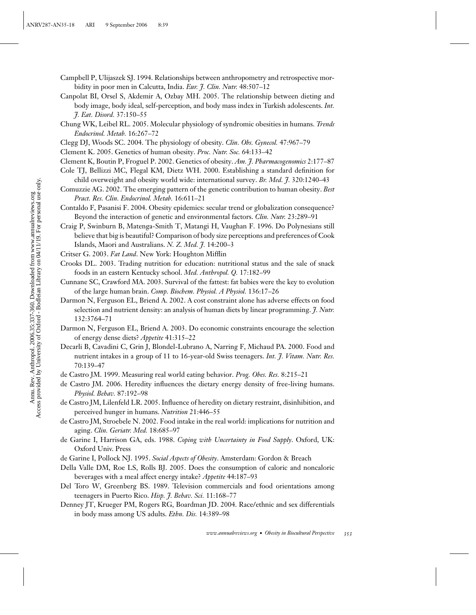- Campbell P, Ulijaszek SJ. 1994. Relationships between anthropometry and retrospective morbidity in poor men in Calcutta, India. *Eur. J. Clin. Nutr.* 48:507–12
- Canpolat BI, Orsel S, Akdemir A, Ozbay MH. 2005. The relationship between dieting and body image, body ideal, self-perception, and body mass index in Turkish adolescents. *Int. J. Eat. Disord.* 37:150–55
- Chung WK, Leibel RL. 2005. Molecular physiology of syndromic obesities in humans. *Trends Endocrinol. Metab.* 16:267–72
- Clegg DJ, Woods SC. 2004. The physiology of obesity. *Clin. Obs. Gynecol.* 47:967–79
- Clement K. 2005. Genetics of human obesity. *Proc. Nutr. Soc.* 64:133–42
- Clement K, Boutin P, Froguel P. 2002. Genetics of obesity. *Am. J. Pharmacogenomics* 2:177–87
- Cole TJ, Bellizzi MC, Flegal KM, Dietz WH. 2000. Establishing a standard definition for child overweight and obesity world wide: international survey. *Br. Med. J.* 320:1240–43
- Comuzzie AG. 2002. The emerging pattern of the genetic contribution to human obesity. *Best Pract. Res. Clin. Endocrinol. Metab.* 16:611–21
- Contaldo F, Pasanisi F. 2004. Obesity epidemics: secular trend or globalization consequence? Beyond the interaction of genetic and environmental factors. *Clin. Nutr.* 23:289–91
- Craig P, Swinburn B, Matenga-Smith T, Matangi H, Vaughan F. 1996. Do Polynesians still believe that big is beautiful? Comparison of body size perceptions and preferences of Cook Islands, Maori and Australians. *N. Z. Med. J.* 14:200–3
- Critser G. 2003. *Fat Land*. New York: Houghton Mifflin
- Crooks DL. 2003. Trading nutrition for education: nutritional status and the sale of snack foods in an eastern Kentucky school. *Med. Anthropol. Q.* 17:182–99
- Cunnane SC, Crawford MA. 2003. Survival of the fattest: fat babies were the key to evolution of the large human brain. *Comp. Biochem. Physiol. A Physiol.* 136:17–26
- Darmon N, Ferguson EL, Briend A. 2002. A cost constraint alone has adverse effects on food selection and nutrient density: an analysis of human diets by linear programming. *J. Nutr.* 132:3764–71
- Darmon N, Ferguson EL, Briend A. 2003. Do economic constraints encourage the selection of energy dense diets? *Appetite* 41:315–22
- Decarli B, Cavadini C, Grin J, Blondel-Lubrano A, Narring F, Michaud PA. 2000. Food and nutrient intakes in a group of 11 to 16-year-old Swiss teenagers. *Int. J. Vitam. Nutr. Res.* 70:139–47
- de Castro JM. 1999. Measuring real world eating behavior. *Prog. Obes. Res.* 8:215–21
- de Castro JM. 2006. Heredity influences the dietary energy density of free-living humans. *Physiol. Behav.* 87:192–98
- de Castro JM, Lilenfeld LR. 2005. Influence of heredity on dietary restraint, disinhibition, and perceived hunger in humans. *Nutrition* 21:446–55
- de Castro JM, Stroebele N. 2002. Food intake in the real world: implications for nutrition and aging. *Clin. Geriatr. Med.* 18:685–97
- de Garine I, Harrison GA, eds. 1988. *Coping with Uncertainty in Food Supply*. Oxford, UK: Oxford Univ. Press
- de Garine I, Pollock NJ. 1995. *Social Aspects of Obesity*. Amsterdam: Gordon & Breach
- Della Valle DM, Roe LS, Rolls BJ. 2005. Does the consumption of caloric and noncaloric beverages with a meal affect energy intake? *Appetite* 44:187–93
- Del Toro W, Greenberg BS. 1989. Television commercials and food orientations among teenagers in Puerto Rico. *Hisp. J. Behav. Sci.* 11:168–77
- Denney JT, Krueger PM, Rogers RG, Boardman JD. 2004. Race/ethnic and sex differentials in body mass among US adults. *Ethn. Dis.* 14:389–98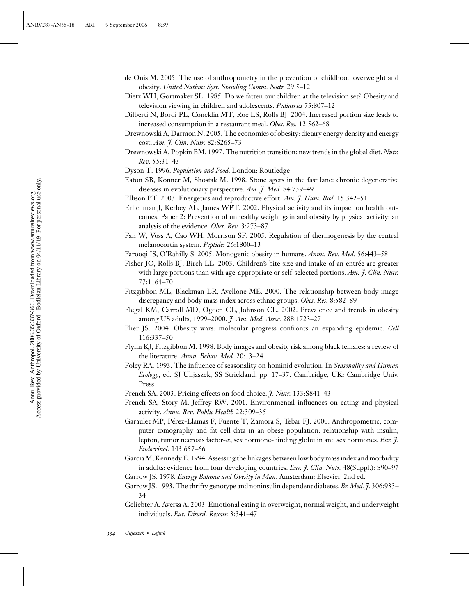- de Onis M. 2005. The use of anthropometry in the prevention of childhood overweight and obesity. *United Nations Syst. Standing Comm. Nutr.* 29:5–12
- Dietz WH, Gortmaker SL. 1985. Do we fatten our children at the television set? Obesity and television viewing in children and adolescents. *Pediatrics* 75:807–12
- Dilberti N, Bordi PL, Concklin MT, Roe LS, Rolls BJ. 2004. Increased portion size leads to increased consumption in a restaurant meal. *Obes. Res.* 12:562–68
- Drewnowski A, Darmon N. 2005. The economics of obesity: dietary energy density and energy cost. *Am. J. Clin. Nutr.* 82:S265–73
- Drewnowski A, Popkin BM. 1997. The nutrition transition: new trends in the global diet. *Nutr. Rev.* 55:31–43
- Dyson T. 1996. *Population and Food*. London: Routledge
- Eaton SB, Konner M, Shostak M. 1998. Stone agers in the fast lane: chronic degenerative diseases in evolutionary perspective. *Am. J. Med.* 84:739–49
- Ellison PT. 2003. Energetics and reproductive effort. *Am. J. Hum. Biol.* 15:342–51
- Erlichman J, Kerbey AL, James WPT. 2002. Physical activity and its impact on health outcomes. Paper 2: Prevention of unhealthy weight gain and obesity by physical activity: an analysis of the evidence. *Obes. Rev.* 3:273–87
- Fan W, Voss A, Cao WH, Morrison SF. 2005. Regulation of thermogenesis by the central melanocortin system. *Peptides* 26:1800–13
- Farooqi IS, O'Rahilly S. 2005. Monogenic obesity in humans. *Annu. Rev. Med.* 56:443–58
- Fisher JO, Rolls BJ, Birch LL. 2003. Children's bite size and intake of an entrée are greater with large portions than with age-appropriate or self-selected portions. *Am. J. Clin. Nutr.* 77:1164–70
- Fitzgibbon ML, Blackman LR, Avellone ME. 2000. The relationship between body image discrepancy and body mass index across ethnic groups. *Obes. Res.* 8:582–89
- Flegal KM, Carroll MD, Ogden CL, Johnson CL. 2002. Prevalence and trends in obesity among US adults, 1999–2000. *J. Am. Med. Assoc.* 288:1723–27
- Flier JS. 2004. Obesity wars: molecular progress confronts an expanding epidemic. *Cell* 116:337–50
- Flynn KJ, Fitzgibbon M. 1998. Body images and obesity risk among black females: a review of the literature. *Annu. Behav. Med.* 20:13–24
- Foley RA. 1993. The influence of seasonality on hominid evolution. In *Seasonality and Human Ecology*, ed. SJ Ulijaszek, SS Strickland, pp. 17–37. Cambridge, UK: Cambridge Univ. Press
- French SA. 2003. Pricing effects on food choice. *J. Nutr.* 133:S841–43
- French SA, Story M, Jeffrey RW. 2001. Environmental influences on eating and physical activity. *Annu. Rev. Public Health* 22:309–35
- Garaulet MP, Pérez-Llamas F, Fuente T, Zamora S, Tebar FJ. 2000. Anthropometric, computer tomography and fat cell data in an obese population: relationship with insulin, lepton, tumor necrosis factor-α, sex hormone-binding globulin and sex hormones. *Eur. J. Endocrinol.* 143:657–66
- Garcia M, Kennedy E. 1994. Assessing the linkages between low body mass index and morbidity in adults: evidence from four developing countries. *Eur. J. Clin. Nutr.* 48(Suppl.): S90–97
- Garrow JS. 1978. *Energy Balance and Obesity in Man*. Amsterdam: Elsevier. 2nd ed.
- Garrow JS. 1993. The thrifty genotype and noninsulin dependent diabetes. *Br. Med. J.* 306:933– 34
- Geliebter A, Aversa A. 2003. Emotional eating in overweight, normal weight, and underweight individuals. *Eat. Disord. Resour.* 3:341–47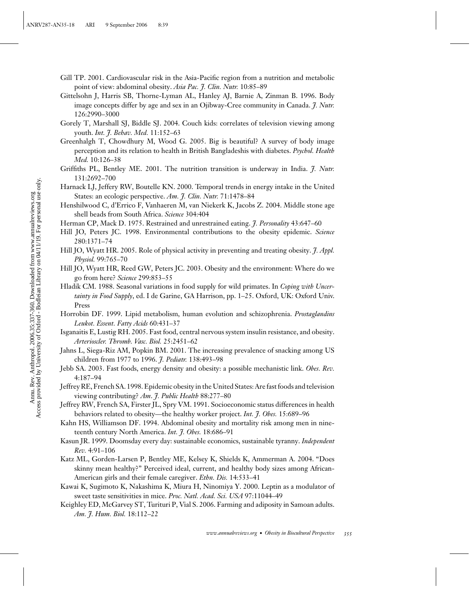- Gill TP. 2001. Cardiovascular risk in the Asia-Pacific region from a nutrition and metabolic point of view: abdominal obesity. *Asia Pac. J. Clin. Nutr.* 10:85–89
- Gittelsohn J, Harris SB, Thorne-Lyman AL, Hanley AJ, Barnie A, Zinman B. 1996. Body image concepts differ by age and sex in an Ojibway-Cree community in Canada. *J. Nutr.* 126:2990–3000
- Gorely T, Marshall SJ, Biddle SJ. 2004. Couch kids: correlates of television viewing among youth. *Int. J. Behav. Med.* 11:152–63
- Greenhalgh T, Chowdhury M, Wood G. 2005. Big is beautiful? A survey of body image perception and its relation to health in British Bangladeshis with diabetes. *Psychol. Health Med.* 10:126–38
- Griffiths PL, Bentley ME. 2001. The nutrition transition is underway in India. *J. Nutr.* 131:2692–700
- Harnack LJ, Jeffery RW, Boutelle KN. 2000. Temporal trends in energy intake in the United States: an ecologic perspective. *Am. J. Clin. Nutr.* 71:1478–84
- Henshilwood C, d'Errico F, Vanhaeren M, van Niekerk K, Jacobs Z. 2004. Middle stone age shell beads from South Africa. *Science* 304:404
- Herman CP, Mack D. 1975. Restrained and unrestrained eating. *J. Personality* 43:647–60
- Hill JO, Peters JC. 1998. Environmental contributions to the obesity epidemic. *Science* 280:1371–74
- Hill JO, Wyatt HR. 2005. Role of physical activity in preventing and treating obesity. *J. Appl. Physiol.* 99:765–70
- Hill JO, Wyatt HR, Reed GW, Peters JC. 2003. Obesity and the environment: Where do we go from here? *Science* 299:853–55
- Hladik CM. 1988. Seasonal variations in food supply for wild primates. In *Coping with Uncertainty in Food Supply*, ed. I de Garine, GA Harrison, pp. 1–25. Oxford, UK: Oxford Univ. Press
- Horrobin DF. 1999. Lipid metabolism, human evolution and schizophrenia. *Prostaglandins Leukot. Essent. Fatty Acids* 60:431–37
- Isganaitis E, Lustig RH. 2005. Fast food, central nervous system insulin resistance, and obesity. *Arterioscler. Thromb. Vasc. Biol.* 25:2451–62
- Jahns L, Siega-Riz AM, Popkin BM. 2001. The increasing prevalence of snacking among US children from 1977 to 1996. *J. Pediatr.* 138:493–98
- Jebb SA. 2003. Fast foods, energy density and obesity: a possible mechanistic link. *Obes. Rev.* 4:187–94
- Jeffrey RE, French SA. 1998. Epidemic obesity in the United States: Are fast foods and television viewing contributing? *Am*. *J. Public Health* 88:277–80
- Jeffrey RW, French SA, Firster JL, Spry VM. 1991. Socioeconomic status differences in health behaviors related to obesity—the healthy worker project. *Int. J. Obes.* 15:689–96
- Kahn HS, Williamson DF. 1994. Abdominal obesity and mortality risk among men in nineteenth century North America. *Int. J. Obes.* 18:686–91
- Kasun JR. 1999. Doomsday every day: sustainable economics, sustainable tyranny. *Independent Rev.* 4:91–106
- Katz ML, Gorden-Larsen P, Bentley ME, Kelsey K, Shields K, Ammerman A. 2004. "Does skinny mean healthy?" Perceived ideal, current, and healthy body sizes among African-American girls and their female caregiver. *Ethn. Dis.* 14:533–41
- Kawai K, Sugimoto K, Nakashima K, Miura H, Ninomiya Y. 2000. Leptin as a modulator of sweet taste sensitivities in mice. *Proc. Natl. Acad. Sci. USA* 97:11044–49
- Keighley ED, McGarvey ST, Turituri P, Vial S. 2006. Farming and adiposity in Samoan adults. *Am. J. Hum. Biol.* 18:112–22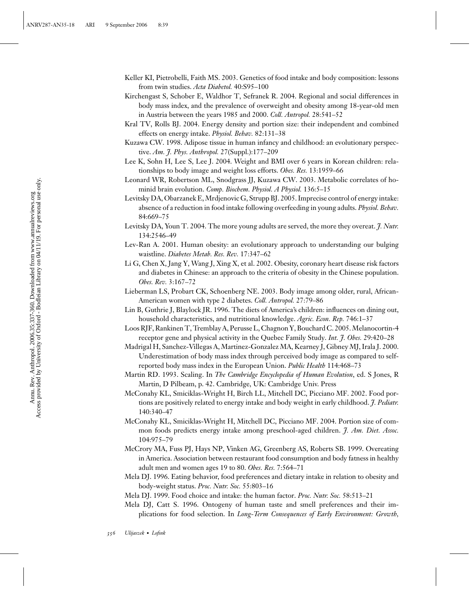- Keller KI, Pietrobelli, Faith MS. 2003. Genetics of food intake and body composition: lessons from twin studies. *Acta Diabetol.* 40:S95–100
- Kirchengast S, Schober E, Waldhor T, Sefranek R. 2004. Regional and social differences in body mass index, and the prevalence of overweight and obesity among 18-year-old men in Austria between the years 1985 and 2000. *Coll. Antropol.* 28:541–52
- Kral TV, Rolls BJ. 2004. Energy density and portion size: their independent and combined effects on energy intake. *Physiol. Behav.* 82:131–38
- Kuzawa CW. 1998. Adipose tissue in human infancy and childhood: an evolutionary perspective. *Am. J. Phys. Anthropol.* 27(Suppl.):177–209
- Lee K, Sohn H, Lee S, Lee J. 2004. Weight and BMI over 6 years in Korean children: relationships to body image and weight loss efforts. *Obes. Res.* 13:1959–66
- Leonard WR, Robertson ML, Snodgrass JJ, Kuzawa CW. 2003. Metabolic correlates of hominid brain evolution. *Comp. Biochem. Physiol. A Physiol.* 136:5–15
- Levitsky DA, Obarzanek E, Mrdjenovic G, Strupp BJ. 2005. Imprecise control of energy intake: absence of a reduction in food intake following overfeeding in young adults. *Physiol. Behav.* 84:669–75
- Levitsky DA, Youn T. 2004. The more young adults are served, the more they overeat. *J. Nutr.* 134:2546–49
- Lev-Ran A. 2001. Human obesity: an evolutionary approach to understanding our bulging waistline. *Diabetes Metab. Res. Rev.* 17:347–62
- Li G, Chen X, Jang Y, Wang J, Xing X, et al. 2002. Obesity, coronary heart disease risk factors and diabetes in Chinese: an approach to the criteria of obesity in the Chinese population. *Obes. Rev.* 3:167–72
- Lieberman LS, Probart CK, Schoenberg NE. 2003. Body image among older, rural, African-American women with type 2 diabetes. *Coll. Antropol.* 27:79–86
- Lin B, Guthrie J, Blaylock JR. 1996. The diets of America's children: influences on dining out, household characteristics, and nutritional knowledge. *Agric. Econ. Rep.* 746:1–37
- Loos RJF, Rankinen T, Tremblay A, Perusse L, Chagnon Y, Bouchard C. 2005. Melanocortin-4 receptor gene and physical activity in the Quebec Family Study. *Int. J. Obes.* 29:420–28
- Madrigal H, Sanchez-Villegas A, Martinez-Gonzalez MA, Kearney J, Gibney MJ, Irala J. 2000. Underestimation of body mass index through perceived body image as compared to selfreported body mass index in the European Union. *Public Health* 114:468–73
- Martin RD. 1993. Scaling. In *The Cambridge Encyclopedia of Human Evolution*, ed. S Jones, R Martin, D Pilbeam, p. 42. Cambridge, UK: Cambridge Univ. Press
- McConahy KL, Smiciklas-Wright H, Birch LL, Mitchell DC, Picciano MF. 2002. Food portions are positively related to energy intake and body weight in early childhood. *J. Pediatr.* 140:340–47
- McConahy KL, Smiciklas-Wright H, Mitchell DC, Picciano MF. 2004. Portion size of common foods predicts energy intake among preschool-aged children. *J. Am. Diet. Assoc.* 104:975–79
- McCrory MA, Fuss PJ, Hays NP, Vinken AG, Greenberg AS, Roberts SB. 1999. Overeating in America. Association between restaurant food consumption and body fatness in healthy adult men and women ages 19 to 80. *Obes. Res.* 7:564–71
- Mela DJ. 1996. Eating behavior, food preferences and dietary intake in relation to obesity and body-weight status. *Proc. Nutr. Soc.* 55:803–16
- Mela DJ. 1999. Food choice and intake: the human factor. *Proc. Nutr. Soc.* 58:513–21
- Mela DJ, Catt S. 1996. Ontogeny of human taste and smell preferences and their implications for food selection. In *Long-Term Consequences of Early Environment: Growth,*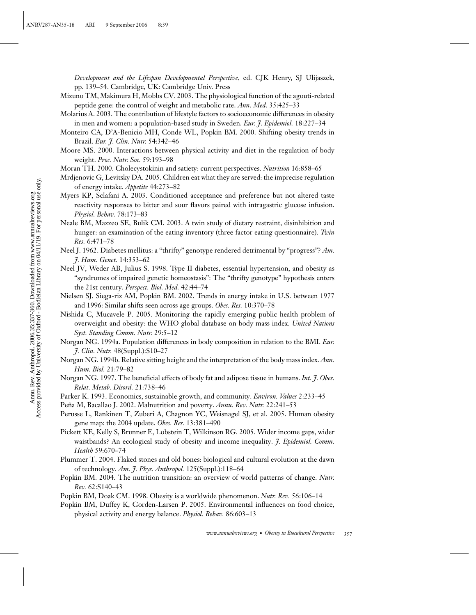*Development and the Lifespan Developmental Perspective*, ed. CJK Henry, SJ Ulijaszek, pp. 139–54. Cambridge, UK: Cambridge Univ. Press

- Mizuno TM, Makimura H, Mobbs CV. 2003. The physiological function of the agouti-related peptide gene: the control of weight and metabolic rate. *Ann. Med.* 35:425–33
- Molarius A. 2003. The contribution of lifestyle factors to socioeconomic differences in obesity in men and women: a population-based study in Sweden. *Eur. J. Epidemiol.* 18:227–34
- Monteiro CA, D'A-Benicio MH, Conde WL, Popkin BM. 2000. Shifting obesity trends in Brazil. *Eur. J. Clin. Nutr.* 54:342–46
- Moore MS. 2000. Interactions between physical activity and diet in the regulation of body weight. *Proc. Nutr. Soc.* 59:193–98
- Moran TH. 2000. Cholecystokinin and satiety: current perspectives. *Nutrition* 16:858–65
- Mrdjenovic G, Levitsky DA. 2005. Children eat what they are served: the imprecise regulation of energy intake. *Appetite* 44:273–82
- Myers KP, Sclafani A. 2003. Conditioned acceptance and preference but not altered taste reactivity responses to bitter and sour flavors paired with intragastric glucose infusion. *Physiol. Behav.* 78:173–83
- Neale BM, Mazzeo SE, Bulik CM. 2003. A twin study of dietary restraint, disinhibition and hunger: an examination of the eating inventory (three factor eating questionnaire). *Twin Res.* 6:471–78
- Neel J. 1962. Diabetes mellitus: a "thrifty" genotype rendered detrimental by "progress"? *Am*. *J. Hum. Genet.* 14:353–62
- Neel JV, Weder AB, Julius S. 1998. Type II diabetes, essential hypertension, and obesity as "syndromes of impaired genetic homeostasis": The "thrifty genotype" hypothesis enters the 21st century. *Perspect. Biol. Med.* 42:44–74
- Nielsen SJ, Siega-riz AM, Popkin BM. 2002. Trends in energy intake in U.S. between 1977 and 1996: Similar shifts seen across age groups. *Obes. Res.* 10:370–78
- Nishida C, Mucavele P. 2005. Monitoring the rapidly emerging public health problem of overweight and obesity: the WHO global database on body mass index. *United Nations Syst. Standing Comm. Nutr.* 29:5–12
- Norgan NG. 1994a. Population differences in body composition in relation to the BMI. *Eur. J. Clin. Nutr.* 48(Suppl.):S10–27
- Norgan NG. 1994b. Relative sitting height and the interpretation of the body mass index. *Ann. Hum. Biol.* 21:79–82
- Norgan NG. 1997. The beneficial effects of body fat and adipose tissue in humans. *Int. J. Obes. Relat. Metab. Disord.* 21:738–46
- Parker K. 1993. Economics, sustainable growth, and community. *Environ. Values* 2:233–45
- Peña M, Bacallao J. 2002. Malnutrition and poverty. Annu. Rev. Nutr. 22:241–53
- Perusse L, Rankinen T, Zuberi A, Chagnon YC, Weisnagel SJ, et al. 2005. Human obesity gene map: the 2004 update. *Obes. Res.* 13:381–490
- Pickett KE, Kelly S, Brunner E, Lobstein T, Wilkinson RG. 2005. Wider income gaps, wider waistbands? An ecological study of obesity and income inequality. *J. Epidemiol. Comm. Health* 59:670–74
- Plummer T. 2004. Flaked stones and old bones: biological and cultural evolution at the dawn of technology. *Am. J. Phys. Anthropol.* 125(Suppl.):118–64
- Popkin BM. 2004. The nutrition transition: an overview of world patterns of change. *Nutr. Rev.* 62:S140–43
- Popkin BM, Doak CM. 1998. Obesity is a worldwide phenomenon. *Nutr. Rev.* 56:106–14
- Popkin BM, Duffey K, Gorden-Larsen P. 2005. Environmental influences on food choice, physical activity and energy balance. *Physiol. Behav.* 86:603–13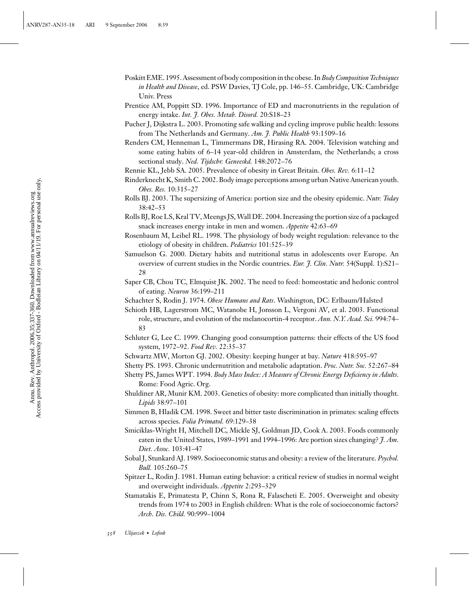- Poskitt EME. 1995. Assessment of body composition in the obese. In*Body Composition Techniques in Health and Disease*, ed. PSW Davies, TJ Cole, pp. 146–55. Cambridge, UK: Cambridge Univ. Press
- Prentice AM, Poppitt SD. 1996. Importance of ED and macronutrients in the regulation of energy intake. *Int. J. Obes. Metab. Disord.* 20:S18–23
- Pucher J, Dijkstra L. 2003. Promoting safe walking and cycling improve public health: lessons from The Netherlands and Germany. *Am. J. Public Health* 93:1509–16
- Renders CM, Henneman L, Timmermans DR, Hirasing RA. 2004. Television watching and some eating habits of 6–14 year-old children in Amsterdam, the Netherlands; a cross sectional study. *Ned. Tijdschr. Geneeskd.* 148:2072–76
- Rennie KL, Jebb SA. 2005. Prevalence of obesity in Great Britain. *Obes. Rev.* 6:11–12
- Rinderknecht K, Smith C. 2002. Body image perceptions among urban Native American youth. *Obes. Res.* 10:315–27
- Rolls BJ. 2003. The supersizing of America: portion size and the obesity epidemic. *Nutr. Today* 38:42–53
- Rolls BJ, Roe LS, Kral TV, Meengs JS, Wall DE. 2004. Increasing the portion size of a packaged snack increases energy intake in men and women. *Appetite* 42:63–69
- Rosenbaum M, Leibel RL. 1998. The physiology of body weight regulation: relevance to the etiology of obesity in children. *Pediatrics* 101:525–39
- Samuelson G. 2000. Dietary habits and nutritional status in adolescents over Europe. An overview of current studies in the Nordic countries. *Eur. J. Clin. Nutr.* 54(Suppl. 1):S21– 28
- Saper CB, Chou TC, Elmquist JK. 2002. The need to feed: homeostatic and hedonic control of eating. *Neuron* 36:199–211
- Schachter S, Rodin J. 1974. *Obese Humans and Rats*. Washington, DC: Erlbaum/Halsted
- Schioth HB, Lagerstrom MC, Watanobe H, Jonsson L, Vergoni AV, et al. 2003. Functional role, structure, and evolution of the melanocortin-4 receptor. *Ann. N.Y. Acad. Sci.* 994:74– 83
- Schluter G, Lee C. 1999. Changing good consumption patterns: their effects of the US food system, 1972–92. *Food Rev.* 22:35–37
- Schwartz MW, Morton GJ. 2002. Obesity: keeping hunger at bay. *Nature* 418:595–97
- Shetty PS. 1993. Chronic undernutrition and metabolic adaptation. *Proc. Nutr. Soc.* 52:267–84
- Shetty PS, James WPT. 1994. *Body Mass Index: A Measure of Chronic Energy Deficiency in Adults*. Rome: Food Agric. Org.
- Shuldiner AR, Munir KM. 2003. Genetics of obesity: more complicated than initially thought. *Lipids* 38:97–101
- Simmen B, Hladik CM. 1998. Sweet and bitter taste discrimination in primates: scaling effects across species. *Folia Primatol.* 69:129–38
- Smiciklas-Wright H, Mitchell DC, Mickle SJ, Goldman JD, Cook A. 2003. Foods commonly eaten in the United States, 1989–1991 and 1994–1996: Are portion sizes changing? *J. Am. Diet. Assoc.* 103:41–47
- Sobal J, Stunkard AJ. 1989. Socioeconomic status and obesity: a review of the literature. *Psychol. Bull.* 105:260–75
- Spitzer L, Rodin J. 1981. Human eating behavior: a critical review of studies in normal weight and overweight individuals. *Appetite* 2:293–329
- Stamatakis E, Primatesta P, Chinn S, Rona R, Falascheti E. 2005. Overweight and obesity trends from 1974 to 2003 in English children: What is the role of socioeconomic factors? *Arch*. *Dis. Child.* 90:999–1004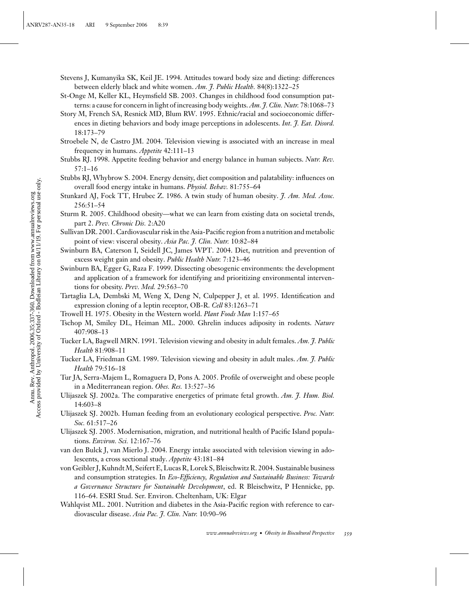- Stevens J, Kumanyika SK, Keil JE. 1994. Attitudes toward body size and dieting: differences between elderly black and white women. *Am. J. Public Health.* 84(8):1322–25
- St-Onge M, Keller KL, Heymsfield SB. 2003. Changes in childhood food consumption patterns: a cause for concern in light of increasing body weights. *Am. J. Clin. Nutr.* 78:1068–73
- Story M, French SA, Resnick MD, Blum RW. 1995. Ethnic/racial and socioeconomic differences in dieting behaviors and body image perceptions in adolescents. *Int. J. Eat. Disord.* 18:173–79
- Stroebele N, de Castro JM. 2004. Television viewing is associated with an increase in meal frequency in humans. *Appetite* 42:111–13
- Stubbs RJ. 1998. Appetite feeding behavior and energy balance in human subjects. *Nutr. Rev.* 57:1–16
- Stubbs RJ, Whybrow S. 2004. Energy density, diet composition and palatability: influences on overall food energy intake in humans. *Physiol. Behav.* 81:755–64
- Stunkard AJ, Fock TT, Hrubec Z. 1986. A twin study of human obesity. *J. Am. Med. Assoc.* 256:51–54
- Sturm R. 2005. Childhood obesity—what we can learn from existing data on societal trends, part 2. *Prev. Chronic Dis.* 2:A20
- Sullivan DR. 2001. Cardiovascular risk in the Asia-Pacific region from a nutrition and metabolic point of view: visceral obesity. *Asia Pac. J. Clin. Nutr.* 10:82–84
- Swinburn BA, Caterson I, Seidell JC, James WPT. 2004. Diet, nutrition and prevention of excess weight gain and obesity. *Public Health Nutr.* 7:123–46
- Swinburn BA, Egger G, Raza F. 1999. Dissecting obesogenic environments: the development and application of a framework for identifying and prioritizing environmental interventions for obesity. *Prev. Med.* 29:563–70
- Tartaglia LA, Dembski M, Weng X, Deng N, Culpepper J, et al. 1995. Identification and expression cloning of a leptin receptor, OB-R. *Cell* 83:1263–71
- Trowell H. 1975. Obesity in the Western world. *Plant Foods Man* 1:157–65
- Tschop M, Smiley DL, Heiman ML. 2000. Ghrelin induces adiposity in rodents. *Nature* 407:908–13
- Tucker LA, Bagwell MRN. 1991. Television viewing and obesity in adult females. *Am. J. Public Health* 81:908–11
- Tucker LA, Friedman GM. 1989. Television viewing and obesity in adult males. *Am. J. Public Health* 79:516–18
- Tur JA, Serra-Majem L, Romaguera D, Pons A. 2005. Profile of overweight and obese people in a Mediterranean region. *Obes. Res.* 13:527–36
- Ulijaszek SJ. 2002a. The comparative energetics of primate fetal growth. *Am. J. Hum. Biol.* 14:603–8
- Ulijaszek SJ. 2002b. Human feeding from an evolutionary ecological perspective. *Proc. Nutr. Soc.* 61:517–26
- Ulijaszek SJ. 2005. Modernisation, migration, and nutritional health of Pacific Island populations. *Environ. Sci.* 12:167–76
- van den Bulck J, van Mierlo J. 2004. Energy intake associated with television viewing in adolescents, a cross sectional study. *Appetite* 43:181–84
- von Geibler J, Kuhndt M, Seifert E, Lucas R, Lorek S, Bleischwitz R. 2004. Sustainable business and consumption strategies. In *Eco-Efficiency, Regulation and Sustainable Business: Towards a Governance Structure for Sustainable Development*, ed. R Bleischwitz, P Hennicke, pp. 116–64. ESRI Stud. Ser. Environ. Cheltenham, UK: Elgar
- Wahlqvist ML. 2001. Nutrition and diabetes in the Asia-Pacific region with reference to cardiovascular disease. *Asia Pac. J. Clin. Nutr.* 10:90–96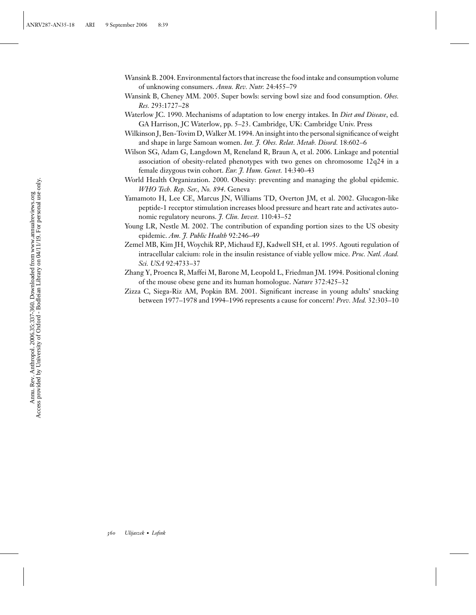- Wansink B. 2004. Environmental factors that increase the food intake and consumption volume of unknowing consumers. *Annu. Rev. Nutr.* 24:455–79
- Wansink B, Cheney MM. 2005. Super bowls: serving bowl size and food consumption. *Obes. Res.* 293:1727–28
- Waterlow JC. 1990. Mechanisms of adaptation to low energy intakes. In *Diet and Disease*, ed. GA Harrison, JC Waterlow, pp. 5–23. Cambridge, UK: Cambridge Univ. Press
- Wilkinson J, Ben-Tovim D, Walker M. 1994. An insight into the personal significance of weight and shape in large Samoan women. *Int. J. Obes. Relat. Metab. Disord.* 18:602–6
- Wilson SG, Adam G, Langdown M, Reneland R, Braun A, et al. 2006. Linkage and potential association of obesity-related phenotypes with two genes on chromosome 12q24 in a female dizygous twin cohort. *Eur. J. Hum. Genet.* 14:340–43
- World Health Organization. 2000. Obesity: preventing and managing the global epidemic. *WHO Tech. Rep. Ser., No. 894*. Geneva
- Yamamoto H, Lee CE, Marcus JN, Williams TD, Overton JM, et al. 2002. Glucagon-like peptide-1 receptor stimulation increases blood pressure and heart rate and activates autonomic regulatory neurons. *J. Clin. Invest.* 110:43–52
- Young LR, Nestle M. 2002. The contribution of expanding portion sizes to the US obesity epidemic. *Am. J. Public Health* 92:246–49
- Zemel MB, Kim JH, Woychik RP, Michaud EJ, Kadwell SH, et al. 1995. Agouti regulation of intracellular calcium: role in the insulin resistance of viable yellow mice. *Proc. Natl. Acad. Sci. USA* 92:4733–37
- Zhang Y, Proenca R, Maffei M, Barone M, Leopold L, Friedman JM. 1994. Positional cloning of the mouse obese gene and its human homologue. *Nature* 372:425–32
- Zizza C, Siega-Riz AM, Popkin BM. 2001. Significant increase in young adults' snacking between 1977–1978 and 1994–1996 represents a cause for concern! *Prev. Med.* 32:303–10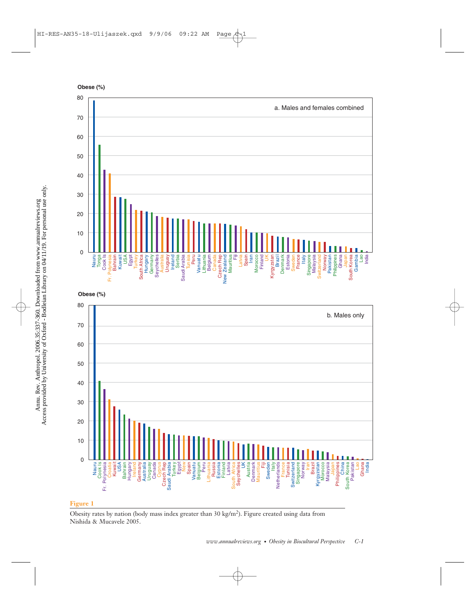

#### **Figure 1**

**Obese (%)**

Obesity rates by nation (body mass index greater than  $30 \text{ kg/m}^2$ ). Figure created using data from Nishida & Mucavele 2005.

Annu. Rev. Anthropol. 2006.35:337-360. Downloaded from www.annualreviews.org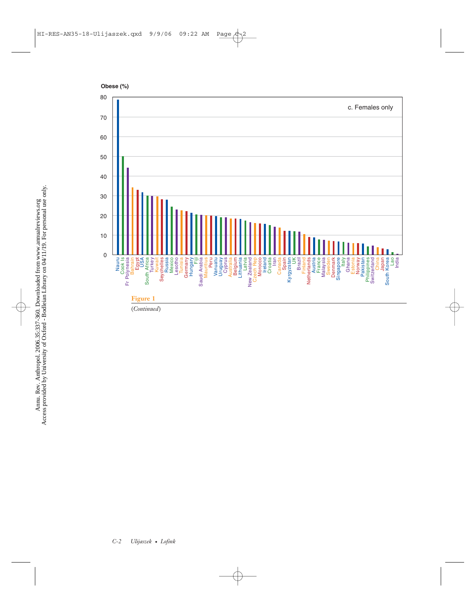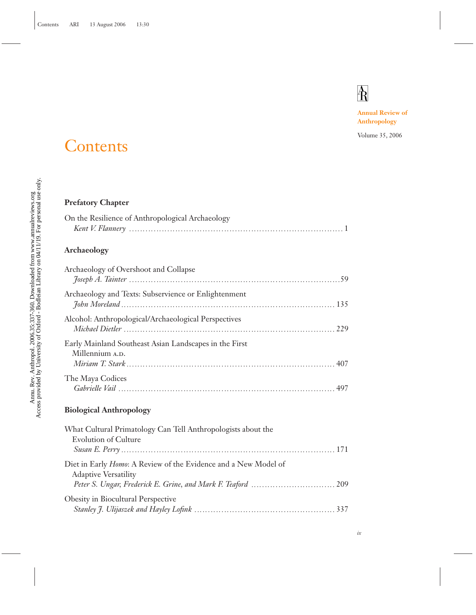

**Annual Review of Anthropology**

Volume 35, 2006

# **Contents**

# **Prefatory Chapter**

| On the Resilience of Anthropological Archaeology |  |
|--------------------------------------------------|--|
|                                                  |  |

## **Archaeology**

| Archaeology of Overshoot and Collapse                                                                  |
|--------------------------------------------------------------------------------------------------------|
| Archaeology and Texts: Subservience or Enlightenment                                                   |
| Alcohol: Anthropological/Archaeological Perspectives                                                   |
| Early Mainland Southeast Asian Landscapes in the First<br>Millennium A.D.                              |
| The Maya Codices                                                                                       |
| <b>Biological Anthropology</b>                                                                         |
| What Cultural Primatology Can Tell Anthropologists about the<br><b>Evolution of Culture</b>            |
| Diet in Early <i>Homo</i> : A Review of the Evidence and a New Model of<br><b>Adaptive Versatility</b> |
|                                                                                                        |

| Obesity in Biocultural Perspective |  |
|------------------------------------|--|
|                                    |  |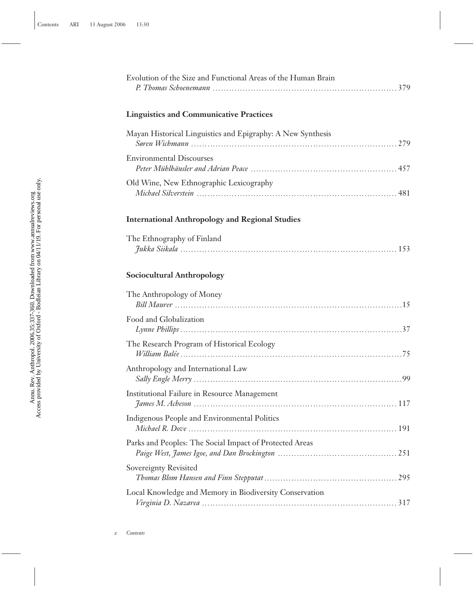| Evolution of the Size and Functional Areas of the Human Brain |
|---------------------------------------------------------------|
| <b>Linguistics and Communicative Practices</b>                |
| Mayan Historical Linguistics and Epigraphy: A New Synthesis   |
| <b>Environmental Discourses</b>                               |
| Old Wine, New Ethnographic Lexicography                       |
| <b>International Anthropology and Regional Studies</b>        |
| The Ethnography of Finland                                    |
| <b>Sociocultural Anthropology</b>                             |
| The Anthropology of Money                                     |
| Food and Globalization                                        |
| The Research Program of Historical Ecology                    |
| Anthropology and International Law                            |
| Institutional Failure in Resource Management                  |
| Indigenous People and Environmental Politics                  |
| Parks and Peoples: The Social Impact of Protected Areas       |
| Sovereignty Revisited                                         |
| Local Knowledge and Memory in Biodiversity Conservation       |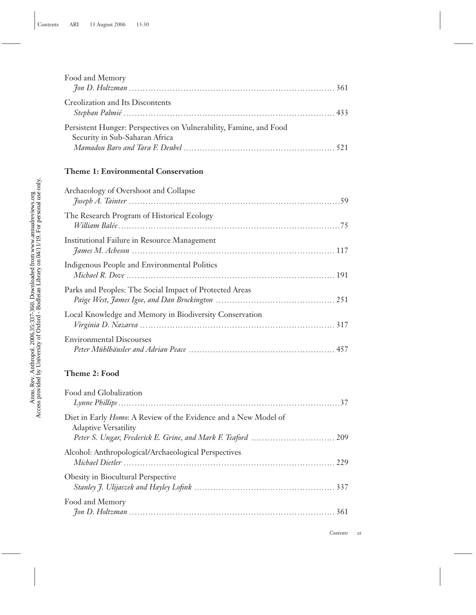| Food and Memory                                                                                      |
|------------------------------------------------------------------------------------------------------|
| Creolization and Its Discontents                                                                     |
| Persistent Hunger: Perspectives on Vulnerability, Famine, and Food<br>Security in Sub-Saharan Africa |
| <b>Theme 1: Environmental Conservation</b>                                                           |
| Archaeology of Overshoot and Collapse                                                                |
| The Research Program of Historical Ecology                                                           |
| Institutional Failure in Resource Management                                                         |
| Indigenous People and Environmental Politics                                                         |
| Parks and Peoples: The Social Impact of Protected Areas                                              |
| Local Knowledge and Memory in Biodiversity Conservation                                              |
| <b>Environmental Discourses</b>                                                                      |
|                                                                                                      |

# **Theme 2: Food**

| Food and Globalization                                                                                 |  |
|--------------------------------------------------------------------------------------------------------|--|
| Diet in Early <i>Homo</i> : A Review of the Evidence and a New Model of<br><b>Adaptive Versatility</b> |  |
| Alcohol: Anthropological/Archaeological Perspectives                                                   |  |
| <b>Obesity in Biocultural Perspective</b>                                                              |  |
| Food and Memory                                                                                        |  |